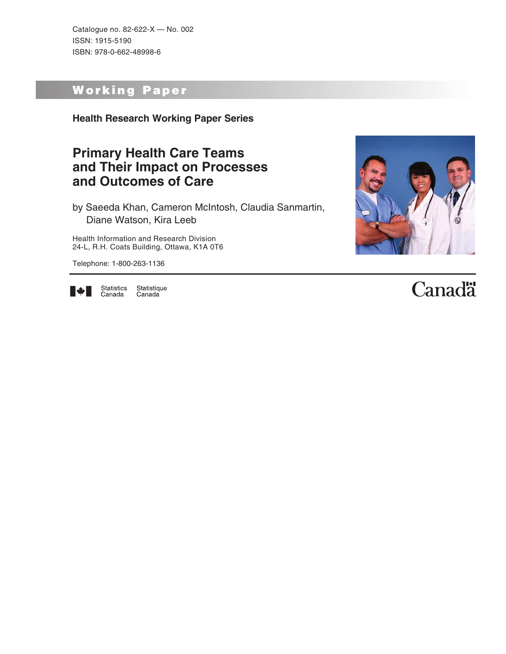Catalogue no. 82-622-X — No. 002 ISSN: 1915-5190 ISBN: 978-0-662-48998-6

# Working Paper

**Health Research Working Paper Series**

# **Primary Health Care Teams and Their Impact on Processes and Outcomes of Care**

by Saeeda Khan, Cameron McIntosh, Claudia Sanmartin, Diane Watson, Kira Leeb

Health Information and Research Division 24-L, R.H. Coats Building, Ottawa, K1A 0T6

Telephone: 1-800-263-1136



Statistics<br>Canada Statistique Canada

# Canadä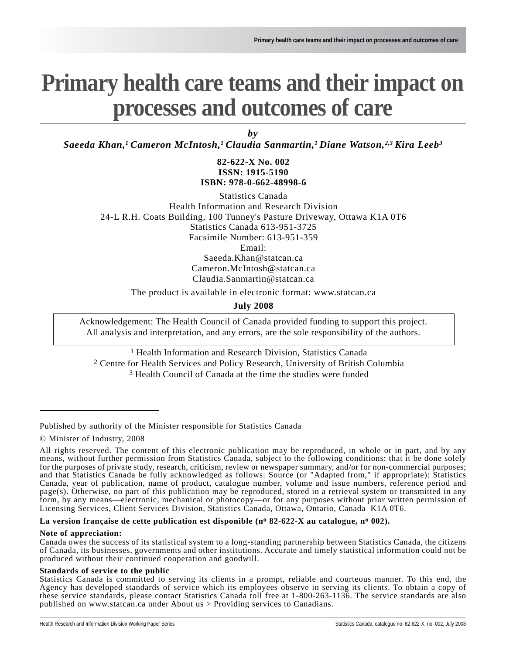# **Primary health care teams and their impact on processes and outcomes of care**

*by*

*Saeeda Khan,1 Cameron McIntosh,1 Claudia Sanmartin,1 Diane Watson,2,3 Kira Leeb3*

#### **82-622-X No. 002 ISSN: 1915-5190 ISBN: 978-0-662-48998-6**

Statistics Canada Health Information and Research Division 24-L R.H. Coats Building, 100 Tunney's Pasture Driveway, Ottawa K1A 0T6 Statistics Canada 613-951-3725 Facsimile Number: 613-951-359 Email: Saeeda.Khan@statcan.ca Cameron.McIntosh@statcan.ca Claudia.Sanmartin@statcan.ca

The product is available in electronic format: www.statcan.ca

**July 2008**

Acknowledgement: The Health Council of Canada provided funding to support this project. All analysis and interpretation, and any errors, are the sole responsibility of the authors.

1 Health Information and Research Division, Statistics Canada 2 Centre for Health Services and Policy Research, University of British Columbia 3 Health Council of Canada at the time the studies were funded

Published by authority of the Minister responsible for Statistics Canada

La version française de cette publication est disponible (n<sup>o</sup> 82-622-X au catalogue, n<sup>o</sup> 002).

#### **Note of appreciation:**

Canada owes the success of its statistical system to a long-standing partnership between Statistics Canada, the citizens of Canada, its businesses, governments and other institutions. Accurate and timely statistical information could not be produced without their continued cooperation and goodwill.

#### **Standards of service to the public**

Statistics Canada is committed to serving its clients in a prompt, reliable and courteous manner. To this end, the Agency has developed standards of service which its employees observe in serving its clients. To obtain a copy of these service standards, please contact Statistics Canada toll free at 1-800-263-1136. The service standards are also published on www.statcan.ca under About us > Providing services to Canadians.

<sup>©</sup> Minister of Industry, 2008

All rights reserved. The content of this electronic publication may be reproduced, in whole or in part, and by any means, without further permission from Statistics Canada, subject to the following conditions: that it be done solely for the purposes of private study, research, criticism, review or newspaper summary, and/or for non-commercial purposes; and that Statistics Canada be fully acknowledged as follows: Source (or "Adapted from," if appropriate): Statistics Canada, year of publication, name of product, catalogue number, volume and issue numbers, reference period and page(s). Otherwise, no part of this publication may be reproduced, stored in a retrieval system or transmitted in any form, by any means—electronic, mechanical or photocopy—or for any purposes without prior written permission of Licensing Services, Client Services Division, Statistics Canada, Ottawa, Ontario, Canada K1A 0T6.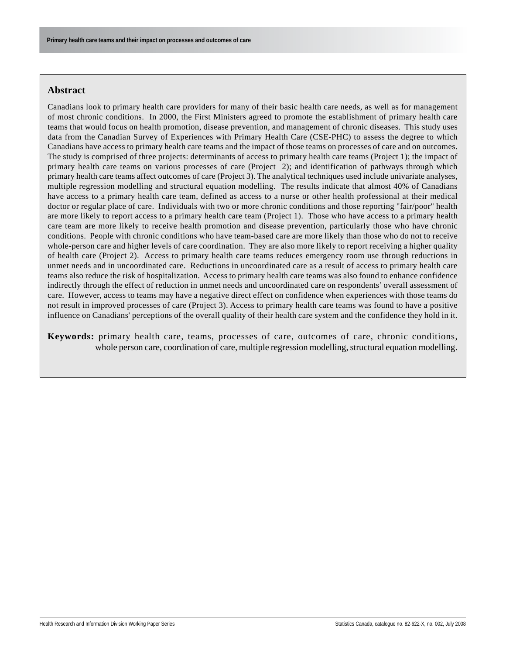### **Abstract**

Canadians look to primary health care providers for many of their basic health care needs, as well as for management of most chronic conditions. In 2000, the First Ministers agreed to promote the establishment of primary health care teams that would focus on health promotion, disease prevention, and management of chronic diseases. This study uses data from the Canadian Survey of Experiences with Primary Health Care (CSE-PHC) to assess the degree to which Canadians have access to primary health care teams and the impact of those teams on processes of care and on outcomes. The study is comprised of three projects: determinants of access to primary health care teams (Project 1); the impact of primary health care teams on various processes of care (Project 2); and identification of pathways through which primary health care teams affect outcomes of care (Project 3). The analytical techniques used include univariate analyses, multiple regression modelling and structural equation modelling. The results indicate that almost 40% of Canadians have access to a primary health care team, defined as access to a nurse or other health professional at their medical doctor or regular place of care. Individuals with two or more chronic conditions and those reporting "fair/poor" health are more likely to report access to a primary health care team (Project 1). Those who have access to a primary health care team are more likely to receive health promotion and disease prevention, particularly those who have chronic conditions. People with chronic conditions who have team-based care are more likely than those who do not to receive whole-person care and higher levels of care coordination. They are also more likely to report receiving a higher quality of health care (Project 2). Access to primary health care teams reduces emergency room use through reductions in unmet needs and in uncoordinated care. Reductions in uncoordinated care as a result of access to primary health care teams also reduce the risk of hospitalization. Access to primary health care teams was also found to enhance confidence indirectly through the effect of reduction in unmet needs and uncoordinated care on respondents' overall assessment of care. However, access to teams may have a negative direct effect on confidence when experiences with those teams do not result in improved processes of care (Project 3). Access to primary health care teams was found to have a positive influence on Canadians' perceptions of the overall quality of their health care system and the confidence they hold in it.

**Keywords:** primary health care, teams, processes of care, outcomes of care, chronic conditions, whole person care, coordination of care, multiple regression modelling, structural equation modelling.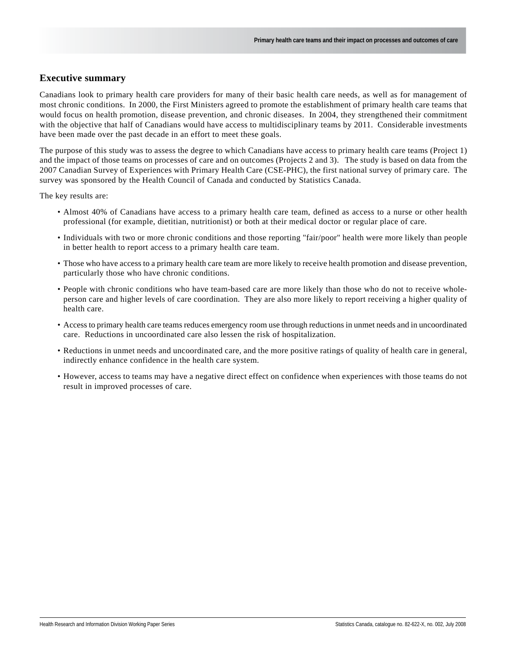### **Executive summary**

Canadians look to primary health care providers for many of their basic health care needs, as well as for management of most chronic conditions. In 2000, the First Ministers agreed to promote the establishment of primary health care teams that would focus on health promotion, disease prevention, and chronic diseases. In 2004, they strengthened their commitment with the objective that half of Canadians would have access to multidisciplinary teams by 2011. Considerable investments have been made over the past decade in an effort to meet these goals.

The purpose of this study was to assess the degree to which Canadians have access to primary health care teams (Project 1) and the impact of those teams on processes of care and on outcomes (Projects 2 and 3). The study is based on data from the 2007 Canadian Survey of Experiences with Primary Health Care (CSE-PHC), the first national survey of primary care. The survey was sponsored by the Health Council of Canada and conducted by Statistics Canada.

The key results are:

- Almost 40% of Canadians have access to a primary health care team, defined as access to a nurse or other health professional (for example, dietitian, nutritionist) or both at their medical doctor or regular place of care.
- Individuals with two or more chronic conditions and those reporting "fair/poor" health were more likely than people in better health to report access to a primary health care team.
- Those who have access to a primary health care team are more likely to receive health promotion and disease prevention, particularly those who have chronic conditions.
- People with chronic conditions who have team-based care are more likely than those who do not to receive wholeperson care and higher levels of care coordination. They are also more likely to report receiving a higher quality of health care.
- Access to primary health care teams reduces emergency room use through reductions in unmet needs and in uncoordinated care. Reductions in uncoordinated care also lessen the risk of hospitalization.
- Reductions in unmet needs and uncoordinated care, and the more positive ratings of quality of health care in general, indirectly enhance confidence in the health care system.
- However, access to teams may have a negative direct effect on confidence when experiences with those teams do not result in improved processes of care.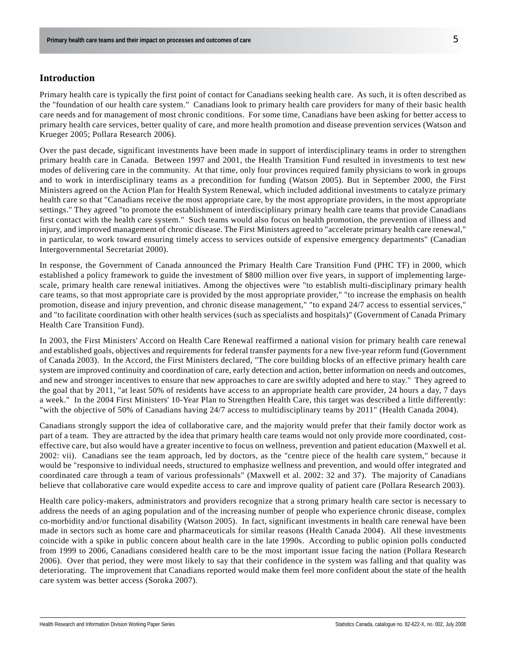#### **Introduction**

Primary health care is typically the first point of contact for Canadians seeking health care. As such, it is often described as the "foundation of our health care system." Canadians look to primary health care providers for many of their basic health care needs and for management of most chronic conditions. For some time, Canadians have been asking for better access to primary health care services, better quality of care, and more health promotion and disease prevention services (Watson and Krueger 2005; Pollara Research 2006).

Over the past decade, significant investments have been made in support of interdisciplinary teams in order to strengthen primary health care in Canada. Between 1997 and 2001, the Health Transition Fund resulted in investments to test new modes of delivering care in the community. At that time, only four provinces required family physicians to work in groups and to work in interdisciplinary teams as a precondition for funding (Watson 2005). But in September 2000, the First Ministers agreed on the Action Plan for Health System Renewal, which included additional investments to catalyze primary health care so that "Canadians receive the most appropriate care, by the most appropriate providers, in the most appropriate settings." They agreed "to promote the establishment of interdisciplinary primary health care teams that provide Canadians first contact with the health care system." Such teams would also focus on health promotion, the prevention of illness and injury, and improved management of chronic disease. The First Ministers agreed to "accelerate primary health care renewal," in particular, to work toward ensuring timely access to services outside of expensive emergency departments" (Canadian Intergovernmental Secretariat 2000).

In response, the Government of Canada announced the Primary Health Care Transition Fund (PHC TF) in 2000, which established a policy framework to guide the investment of \$800 million over five years, in support of implementing largescale, primary health care renewal initiatives. Among the objectives were "to establish multi-disciplinary primary health care teams, so that most appropriate care is provided by the most appropriate provider," "to increase the emphasis on health promotion, disease and injury prevention, and chronic disease management," "to expand 24/7 access to essential services," and "to facilitate coordination with other health services (such as specialists and hospitals)" (Government of Canada Primary Health Care Transition Fund).

In 2003, the First Ministers' Accord on Health Care Renewal reaffirmed a national vision for primary health care renewal and established goals, objectives and requirements for federal transfer payments for a new five-year reform fund (Government of Canada 2003). In the Accord, the First Ministers declared, "The core building blocks of an effective primary health care system are improved continuity and coordination of care, early detection and action, better information on needs and outcomes, and new and stronger incentives to ensure that new approaches to care are swiftly adopted and here to stay." They agreed to the goal that by 2011, "at least 50% of residents have access to an appropriate health care provider, 24 hours a day, 7 days a week." In the 2004 First Ministers' 10-Year Plan to Strengthen Health Care, this target was described a little differently: "with the objective of 50% of Canadians having 24/7 access to multidisciplinary teams by 2011" (Health Canada 2004).

Canadians strongly support the idea of collaborative care, and the majority would prefer that their family doctor work as part of a team. They are attracted by the idea that primary health care teams would not only provide more coordinated, costeffective care, but also would have a greater incentive to focus on wellness, prevention and patient education (Maxwell et al. 2002: vii). Canadians see the team approach, led by doctors, as the "centre piece of the health care system," because it would be "responsive to individual needs, structured to emphasize wellness and prevention, and would offer integrated and coordinated care through a team of various professionals" (Maxwell et al. 2002: 32 and 37). The majority of Canadians believe that collaborative care would expedite access to care and improve quality of patient care (Pollara Research 2003).

Health care policy-makers, administrators and providers recognize that a strong primary health care sector is necessary to address the needs of an aging population and of the increasing number of people who experience chronic disease, complex co-morbidity and/or functional disability (Watson 2005). In fact, significant investments in health care renewal have been made in sectors such as home care and pharmaceuticals for similar reasons (Health Canada 2004). All these investments coincide with a spike in public concern about health care in the late 1990s. According to public opinion polls conducted from 1999 to 2006, Canadians considered health care to be the most important issue facing the nation (Pollara Research 2006). Over that period, they were most likely to say that their confidence in the system was falling and that quality was deteriorating. The improvement that Canadians reported would make them feel more confident about the state of the health care system was better access (Soroka 2007).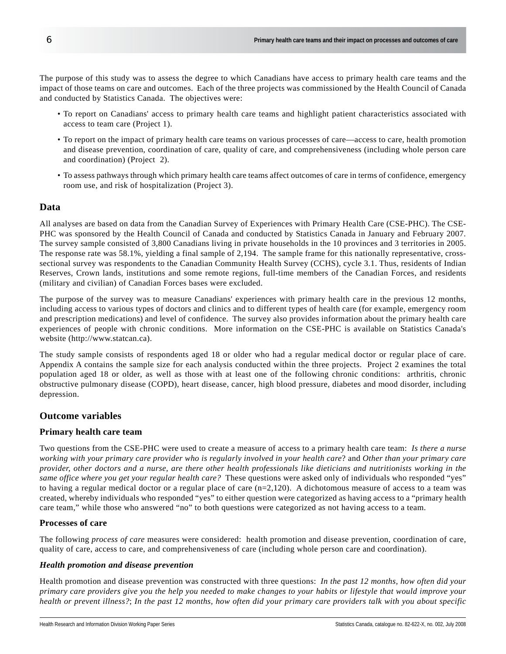The purpose of this study was to assess the degree to which Canadians have access to primary health care teams and the impact of those teams on care and outcomes. Each of the three projects was commissioned by the Health Council of Canada and conducted by Statistics Canada. The objectives were:

- To report on Canadians' access to primary health care teams and highlight patient characteristics associated with access to team care (Project 1).
- To report on the impact of primary health care teams on various processes of care—access to care, health promotion and disease prevention, coordination of care, quality of care, and comprehensiveness (including whole person care and coordination) (Project 2).
- To assess pathways through which primary health care teams affect outcomes of care in terms of confidence, emergency room use, and risk of hospitalization (Project 3).

#### **Data**

All analyses are based on data from the Canadian Survey of Experiences with Primary Health Care (CSE-PHC). The CSE-PHC was sponsored by the Health Council of Canada and conducted by Statistics Canada in January and February 2007. The survey sample consisted of 3,800 Canadians living in private households in the 10 provinces and 3 territories in 2005. The response rate was 58.1%, yielding a final sample of 2,194. The sample frame for this nationally representative, crosssectional survey was respondents to the Canadian Community Health Survey (CCHS), cycle 3.1. Thus, residents of Indian Reserves, Crown lands, institutions and some remote regions, full-time members of the Canadian Forces, and residents (military and civilian) of Canadian Forces bases were excluded.

The purpose of the survey was to measure Canadians' experiences with primary health care in the previous 12 months, including access to various types of doctors and clinics and to different types of health care (for example, emergency room and prescription medications) and level of confidence. The survey also provides information about the primary health care experiences of people with chronic conditions. More information on the CSE-PHC is available on Statistics Canada's website (http://www.statcan.ca).

The study sample consists of respondents aged 18 or older who had a regular medical doctor or regular place of care. Appendix A contains the sample size for each analysis conducted within the three projects. Project 2 examines the total population aged 18 or older, as well as those with at least one of the following chronic conditions: arthritis, chronic obstructive pulmonary disease (COPD), heart disease, cancer, high blood pressure, diabetes and mood disorder, including depression.

#### **Outcome variables**

#### **Primary health care team**

Two questions from the CSE-PHC were used to create a measure of access to a primary health care team: *Is there a nurse working with your primary care provider who is regularly involved in your health care*? and *Other than your primary care provider, other doctors and a nurse, are there other health professionals like dieticians and nutritionists working in the same office where you get your regular health care?* These questions were asked only of individuals who responded "yes" to having a regular medical doctor or a regular place of care  $(n=2,120)$ . A dichotomous measure of access to a team was created, whereby individuals who responded "yes" to either question were categorized as having access to a "primary health care team," while those who answered "no" to both questions were categorized as not having access to a team.

#### **Processes of care**

The following *process of care* measures were considered: health promotion and disease prevention, coordination of care, quality of care, access to care, and comprehensiveness of care (including whole person care and coordination).

#### *Health promotion and disease prevention*

Health promotion and disease prevention was constructed with three questions: *In the past 12 months, how often did your primary care providers give you the help you needed to make changes to your habits or lifestyle that would improve your health or prevent illness?*; *In the past 12 months, how often did your primary care providers talk with you about specific*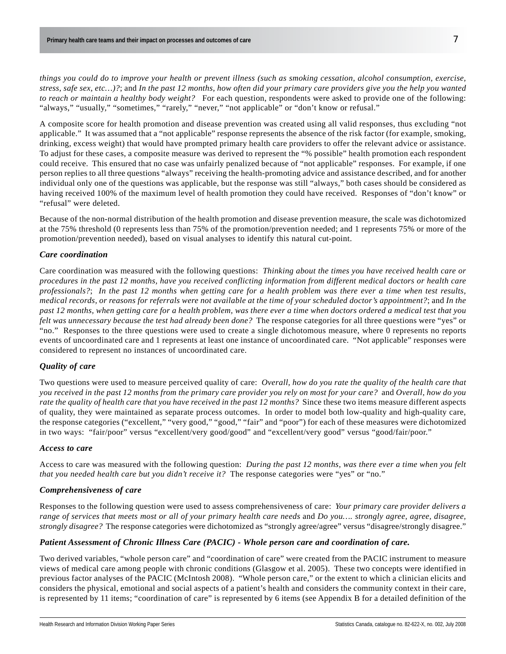*things you could do to improve your health or prevent illness (such as smoking cessation, alcohol consumption, exercise, stress, safe sex, etc…)?*; and *In the past 12 months, how often did your primary care providers give you the help you wanted to reach or maintain a healthy body weight?* For each question, respondents were asked to provide one of the following: "always," "usually," "sometimes," "rarely," "never," "not applicable" or "don't know or refusal."

A composite score for health promotion and disease prevention was created using all valid responses, thus excluding "not applicable." It was assumed that a "not applicable" response represents the absence of the risk factor (for example, smoking, drinking, excess weight) that would have prompted primary health care providers to offer the relevant advice or assistance. To adjust for these cases, a composite measure was derived to represent the "% possible" health promotion each respondent could receive. This ensured that no case was unfairly penalized because of "not applicable" responses. For example, if one person replies to all three questions "always" receiving the health-promoting advice and assistance described, and for another individual only one of the questions was applicable, but the response was still "always," both cases should be considered as having received 100% of the maximum level of health promotion they could have received. Responses of "don't know" or "refusal" were deleted.

Because of the non-normal distribution of the health promotion and disease prevention measure, the scale was dichotomized at the 75% threshold (0 represents less than 75% of the promotion/prevention needed; and 1 represents 75% or more of the promotion/prevention needed), based on visual analyses to identify this natural cut-point.

#### *Care coordination*

Care coordination was measured with the following questions: *Thinking about the times you have received health care or procedures in the past 12 months, have you received conflicting information from different medical doctors or health care professionals?*; *In the past 12 months when getting care for a health problem was there ever a time when test results, medical records, or reasons for referrals were not available at the time of your scheduled doctor's appointment?*; and *In the past 12 months, when getting care for a health problem, was there ever a time when doctors ordered a medical test that you felt was unnecessary because the test had already been done?* The response categories for all three questions were "yes" or "no." Responses to the three questions were used to create a single dichotomous measure, where 0 represents no reports events of uncoordinated care and 1 represents at least one instance of uncoordinated care. "Not applicable" responses were considered to represent no instances of uncoordinated care.

#### *Quality of care*

Two questions were used to measure perceived quality of care: *Overall, how do you rate the quality of the health care that you received in the past 12 months from the primary care provider you rely on most for your care?* and *Overall, how do you rate the quality of health care that you have received in the past 12 months?* Since these two items measure different aspects of quality, they were maintained as separate process outcomes. In order to model both low-quality and high-quality care, the response categories ("excellent," "very good," "good," "fair" and "poor") for each of these measures were dichotomized in two ways: "fair/poor" versus "excellent/very good/good" and "excellent/very good" versus "good/fair/poor."

#### *Access to care*

Access to care was measured with the following question: *During the past 12 months, was there ever a time when you felt that you needed health care but you didn't receive it?* The response categories were "yes" or "no."

#### *Comprehensiveness of care*

Responses to the following question were used to assess comprehensiveness of care: *Your primary care provider delivers a range of services that meets most or all of your primary health care needs* and *Do you…. strongly agree, agree, disagree, strongly disagree?* The response categories were dichotomized as "strongly agree/agree" versus "disagree/strongly disagree."

#### *Patient Assessment of Chronic Illness Care (PACIC) - Whole person care and coordination of care.*

Two derived variables, "whole person care" and "coordination of care" were created from the PACIC instrument to measure views of medical care among people with chronic conditions (Glasgow et al. 2005). These two concepts were identified in previous factor analyses of the PACIC (McIntosh 2008). "Whole person care," or the extent to which a clinician elicits and considers the physical, emotional and social aspects of a patient's health and considers the community context in their care, is represented by 11 items; "coordination of care" is represented by 6 items (see Appendix B for a detailed definition of the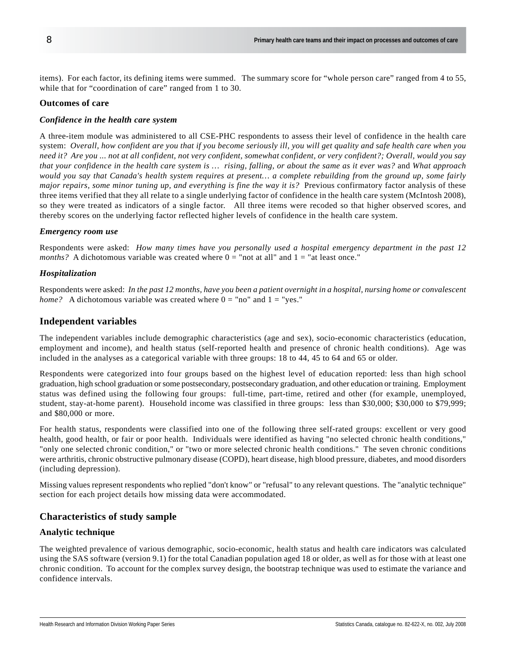items). For each factor, its defining items were summed. The summary score for "whole person care" ranged from 4 to 55, while that for "coordination of care" ranged from 1 to 30.

#### **Outcomes of care**

#### *Confidence in the health care system*

A three-item module was administered to all CSE-PHC respondents to assess their level of confidence in the health care system: *Overall, how confident are you that if you become seriously ill, you will get quality and safe health care when you need it? Are you ... not at all confident, not very confident, somewhat confident, or very confident?; Overall, would you say that your confidence in the health care system is … rising, falling, or about the same as it ever was?* and *What approach would you say that Canada's health system requires at present… a complete rebuilding from the ground up, some fairly major repairs, some minor tuning up, and everything is fine the way it is?* Previous confirmatory factor analysis of these three items verified that they all relate to a single underlying factor of confidence in the health care system (McIntosh 2008), so they were treated as indicators of a single factor. All three items were recoded so that higher observed scores, and thereby scores on the underlying factor reflected higher levels of confidence in the health care system.

#### *Emergency room use*

Respondents were asked: *How many times have you personally used a hospital emergency department in the past 12 months?* A dichotomous variable was created where  $0 =$  "not at all" and  $1 =$  "at least once."

#### *Hospitalization*

Respondents were asked: *In the past 12 months, have you been a patient overnight in a hospital, nursing home or convalescent home?* A dichotomous variable was created where  $0 = "no"$  and  $1 = "yes."$ 

#### **Independent variables**

The independent variables include demographic characteristics (age and sex), socio-economic characteristics (education, employment and income), and health status (self-reported health and presence of chronic health conditions). Age was included in the analyses as a categorical variable with three groups: 18 to 44, 45 to 64 and 65 or older.

Respondents were categorized into four groups based on the highest level of education reported: less than high school graduation, high school graduation or some postsecondary, postsecondary graduation, and other education or training. Employment status was defined using the following four groups: full-time, part-time, retired and other (for example, unemployed, student, stay-at-home parent). Household income was classified in three groups: less than \$30,000; \$30,000 to \$79,999; and \$80,000 or more.

For health status, respondents were classified into one of the following three self-rated groups: excellent or very good health, good health, or fair or poor health. Individuals were identified as having "no selected chronic health conditions," "only one selected chronic condition," or "two or more selected chronic health conditions." The seven chronic conditions were arthritis, chronic obstructive pulmonary disease (COPD), heart disease, high blood pressure, diabetes, and mood disorders (including depression).

Missing values represent respondents who replied "don't know" or "refusal" to any relevant questions. The "analytic technique" section for each project details how missing data were accommodated.

#### **Characteristics of study sample**

#### **Analytic technique**

The weighted prevalence of various demographic, socio-economic, health status and health care indicators was calculated using the SAS software (version 9.1) for the total Canadian population aged 18 or older, as well as for those with at least one chronic condition. To account for the complex survey design, the bootstrap technique was used to estimate the variance and confidence intervals.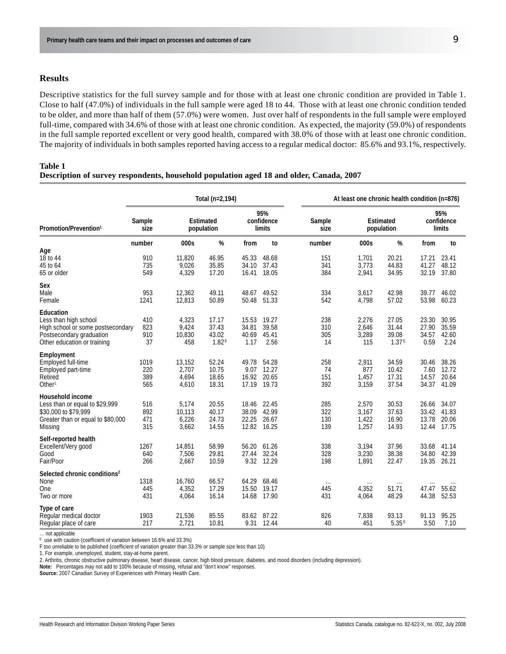#### **Results**

Descriptive statistics for the full survey sample and for those with at least one chronic condition are provided in Table 1. Close to half (47.0%) of individuals in the full sample were aged 18 to 44. Those with at least one chronic condition tended to be older, and more than half of them (57.0%) were women. Just over half of respondents in the full sample were employed full-time, compared with 34.6% of those with at least one chronic condition. As expected, the majority (59.0%) of respondents in the full sample reported excellent or very good health, compared with 38.0% of those with at least one chronic condition. The majority of individuals in both samples reported having access to a regular medical doctor: 85.6% and 93.1%, respectively.

| <b>Table 1</b>                                                                          |  |  |  |
|-----------------------------------------------------------------------------------------|--|--|--|
| Description of survey respondents, household population aged 18 and older, Canada, 2007 |  |  |  |

|                                                                                                                                    |                           |                                   | Total (n=2,194)                              |                                 |                                        |                          | At least one chronic health condition (n=876) |                                  |                                  |                                  |  |
|------------------------------------------------------------------------------------------------------------------------------------|---------------------------|-----------------------------------|----------------------------------------------|---------------------------------|----------------------------------------|--------------------------|-----------------------------------------------|----------------------------------|----------------------------------|----------------------------------|--|
| Promotion/Prevention <sup>1</sup>                                                                                                  | Sample<br>size            |                                   | Estimated<br>population                      |                                 | 95%<br>confidence<br>limits            | Sample<br>size           |                                               | Estimated<br>population          |                                  | 95%<br>confidence<br>limits      |  |
|                                                                                                                                    | number                    | 000s                              | $\%$                                         | from                            | to                                     | number                   | 000s                                          | $\%$                             | from                             | to                               |  |
| Age<br>18 to 44<br>45 to 64<br>65 or older                                                                                         | 910<br>735<br>549         | 11,820<br>9,026<br>4,329          | 46.95<br>35.85<br>17.20                      | 45.33<br>34.10<br>16.41         | 48.68<br>37.43<br>18.05                | 151<br>341<br>384        | 1,701<br>3,773<br>2,941                       | 20.21<br>44.83<br>34.95          | 17.21<br>41.27<br>32.19          | 23.41<br>48.12<br>37.80          |  |
| Sex<br>Male<br>Female                                                                                                              | 953<br>1241               | 12,362<br>12,813                  | 49.11<br>50.89                               | 48.67<br>50.48                  | 49.52<br>51.33                         | 334<br>542               | 3,617<br>4,798                                | 42.98<br>57.02                   | 39.77<br>53.98                   | 46.02<br>60.23                   |  |
| Education<br>Less than high school<br>High school or some postsecondary<br>Postsecondary graduation<br>Other education or training | 410<br>823<br>910<br>37   | 4,323<br>9,424<br>10,830<br>458   | 17.17<br>37.43<br>43.02<br>1.82 <sup>E</sup> | 15.53<br>34.81<br>40.69<br>1.17 | 19.27<br>39.58<br>45.41<br>2.56        | 238<br>310<br>305<br>14  | 2,276<br>2,646<br>3,289<br>115                | 27.05<br>31.44<br>39.08<br>1.37E | 23.30<br>27.90<br>34.57<br>0.59  | 30.95<br>35.59<br>42.60<br>2.24  |  |
| Employment<br>Employed full-time<br>Employed part-time<br>Retired<br>Other <sup>1</sup>                                            | 1019<br>220<br>389<br>565 | 13,152<br>2,707<br>4,694<br>4,610 | 52.24<br>10.75<br>18.65<br>18.31             | 49.78<br>9.07<br>16.92          | 54.28<br>12.27<br>20.65<br>17.19 19.73 | 258<br>74<br>151<br>392  | 2,911<br>877<br>1,457<br>3,159                | 34.59<br>10.42<br>17.31<br>37.54 | 30.46<br>7.60<br>14.57<br>34.37  | 38.26<br>12.72<br>20.64<br>41.09 |  |
| Household income<br>Less than or equal to \$29,999<br>\$30,000 to \$79,999<br>Greater than or equal to \$80,000<br>Missing         | 516<br>892<br>471<br>315  | 5,174<br>10,113<br>6,226<br>3,662 | 20.55<br>40.17<br>24.73<br>14.55             | 18.46<br>38.09<br>22.25         | 22.45<br>42.99<br>26.67<br>12.82 16.25 | 285<br>322<br>130<br>139 | 2,570<br>3,167<br>1,422<br>1,257              | 30.53<br>37.63<br>16.90<br>14.93 | 26.66<br>33.42<br>13.78<br>12.44 | 34.07<br>41.83<br>20.06<br>17.75 |  |
| Self-reported health<br>Excellent/Very good<br>Good<br>Fair/Poor                                                                   | 1267<br>640<br>266        | 14,851<br>7,506<br>2,667          | 58.99<br>29.81<br>10.59                      | 56.20<br>27.44<br>9.32          | 61.26<br>32.24<br>12.29                | 338<br>328<br>198        | 3,194<br>3,230<br>1,891                       | 37.96<br>38.38<br>22.47          | 33.68<br>34.80<br>19.35          | 41.14<br>42.39<br>26.21          |  |
| Selected chronic conditions <sup>2</sup><br>None<br>One<br>Two or more                                                             | 1318<br>445<br>431        | 16,760<br>4,352<br>4,064          | 66.57<br>17.29<br>16.14                      | 64.29<br>15.50<br>14.68         | 68.46<br>19.17<br>17.90                | $\ldots$<br>445<br>431   | $\cdots$<br>4,352<br>4,064                    | $\cdots$<br>51.71<br>48.29       | .<br>47.47<br>44.38              | 55.62<br>52.53                   |  |
| Type of care<br>Regular medical doctor<br>Regular place of care                                                                    | 1903<br>217               | 21,536<br>2,721                   | 85.55<br>10.81                               | 83.62                           | 87.22<br>9.31 12.44                    | 826<br>40                | 7,838<br>451                                  | 93.13<br>5.35E                   | 91.13<br>3.50                    | 95.25<br>7.10                    |  |

... not applicable<br>E use with cautic

use with caution (coefficient of variation between 16.6% and 33.3%)

F too unreliable to be published (coefficient of variation greater than 33.3% or sample size less than 10)

1. For example, unemployed, student, stay-at-home parent.

2. Arthritis, chronic obstructive pulmonary disease, heart disease, cancer, high blood pressure, diabetes, and mood disorders (including depression).

**Note:** Percentages may not add to 100% because of missing, refusal and "don't know" responses.

**Source:** 2007 Canadian Survey of Experiences with Primary Health Care.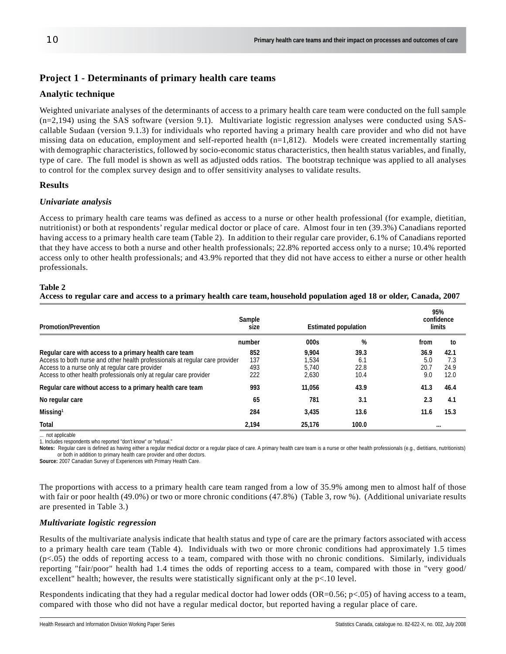### **Project 1 - Determinants of primary health care teams**

#### **Analytic technique**

Weighted univariate analyses of the determinants of access to a primary health care team were conducted on the full sample (n=2,194) using the SAS software (version 9.1). Multivariate logistic regression analyses were conducted using SAScallable Sudaan (version 9.1.3) for individuals who reported having a primary health care provider and who did not have missing data on education, employment and self-reported health  $(n=1,812)$ . Models were created incrementally starting with demographic characteristics, followed by socio-economic status characteristics, then health status variables, and finally, type of care. The full model is shown as well as adjusted odds ratios. The bootstrap technique was applied to all analyses to control for the complex survey design and to offer sensitivity analyses to validate results.

#### **Results**

#### *Univariate analysis*

Access to primary health care teams was defined as access to a nurse or other health professional (for example, dietitian, nutritionist) or both at respondents' regular medical doctor or place of care. Almost four in ten (39.3%) Canadians reported having access to a primary health care team (Table 2). In addition to their regular care provider, 6.1% of Canadians reported that they have access to both a nurse and other health professionals; 22.8% reported access only to a nurse; 10.4% reported access only to other health professionals; and 43.9% reported that they did not have access to either a nurse or other health professionals.

#### **Table 2**

### **Access to regular care and access to a primary health care team, household population aged 18 or older, Canada, 2007**

| <b>Promotion/Prevention</b>                                                                                                                                                                                                                                     | Sample<br>size           | <b>Estimated population</b>      | 95%<br>confidence<br>limits |                            |                             |
|-----------------------------------------------------------------------------------------------------------------------------------------------------------------------------------------------------------------------------------------------------------------|--------------------------|----------------------------------|-----------------------------|----------------------------|-----------------------------|
|                                                                                                                                                                                                                                                                 | number                   | 000s                             | %                           | from                       | to                          |
| Regular care with access to a primary health care team<br>Access to both nurse and other health professionals at regular care provider<br>Access to a nurse only at regular care provider<br>Access to other health professionals only at regular care provider | 852<br>137<br>493<br>222 | 9.904<br>1.534<br>5.740<br>2.630 | 39.3<br>6.<br>22.8<br>10.4  | 36.9<br>5.0<br>20.7<br>9.0 | 42.1<br>7.3<br>24.9<br>12.0 |
| Regular care without access to a primary health care team                                                                                                                                                                                                       | 993                      | 11.056                           | 43.9                        | 41.3                       | 46.4                        |
| No regular care                                                                                                                                                                                                                                                 | 65                       | 781                              | 3.1                         | 2.3                        | 4.1                         |
| Missing <sup>1</sup>                                                                                                                                                                                                                                            | 284                      | 3.435                            | 13.6                        | 11.6                       | 15.3                        |
| Total                                                                                                                                                                                                                                                           | 2.194                    | 25.176                           | 100.0                       |                            | $\cdots$                    |

not applicable

1. Includes respondents who reported "don't know" or "refusal."

**Notes:** Regular care is defined as having either a regular medical doctor or a regular place of care. A primary health care team is a nurse or other health professionals (e.g., dietitians, nutritionists) or both in addition to primary health care provider and other doctors.

**Source:** 2007 Canadian Survey of Experiences with Primary Health Care.

The proportions with access to a primary health care team ranged from a low of 35.9% among men to almost half of those with fair or poor health (49.0%) or two or more chronic conditions (47.8%) (Table 3, row %). (Additional univariate results are presented in Table 3.)

#### *Multivariate logistic regression*

Results of the multivariate analysis indicate that health status and type of care are the primary factors associated with access to a primary health care team (Table 4). Individuals with two or more chronic conditions had approximately 1.5 times  $(p<0.05)$  the odds of reporting access to a team, compared with those with no chronic conditions. Similarly, individuals reporting "fair/poor" health had 1.4 times the odds of reporting access to a team, compared with those in "very good/ excellent" health; however, the results were statistically significant only at the p<.10 level.

Respondents indicating that they had a regular medical doctor had lower odds  $(OR=0.56; p<.05)$  of having access to a team, compared with those who did not have a regular medical doctor, but reported having a regular place of care.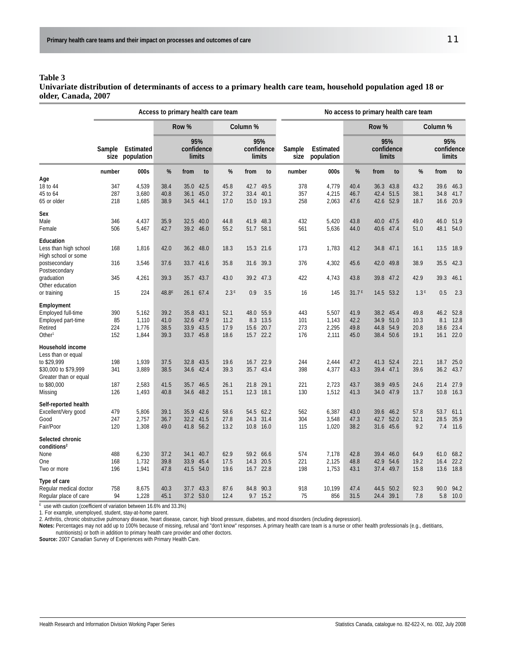#### **Table 3 Univariate distribution of determinants of access to a primary health care team, household population aged 18 or older, Canada, 2007**

|                                                                                                                       |                         | Access to primary health care team |                              |                   |                                             |                              |                                |                                   | No access to primary health care team |                                  |                              |                           |                                |                              |                             |                              |
|-----------------------------------------------------------------------------------------------------------------------|-------------------------|------------------------------------|------------------------------|-------------------|---------------------------------------------|------------------------------|--------------------------------|-----------------------------------|---------------------------------------|----------------------------------|------------------------------|---------------------------|--------------------------------|------------------------------|-----------------------------|------------------------------|
|                                                                                                                       |                         |                                    |                              | Row %             |                                             |                              | Column %                       |                                   |                                       |                                  |                              | Row %                     |                                |                              | Column %                    |                              |
|                                                                                                                       | Sample<br>size          | Estimated<br>population            |                              |                   | 95%<br>confidence<br>limits                 |                              |                                | 95%<br>confidence<br>limits       | Sample<br>size                        | Estimated<br>population          |                              |                           | 95%<br>confidence<br>limits    |                              |                             | 95%<br>confidence<br>limits  |
|                                                                                                                       | number                  | 000s                               | $\%$                         | from              | to                                          | $\%$                         | from                           | to                                | number                                | 000s                             | %                            | from                      | to                             | $\%$                         | from                        | to                           |
| Age<br>18 to 44<br>45 to 64<br>65 or older                                                                            | 347<br>287<br>218       | 4,539<br>3,680<br>1,685            | 38.4<br>40.8<br>38.9         | 36.1<br>34.5 44.1 | 35.0 42.5<br>45.0                           | 45.8<br>37.2<br>17.0         | 42.7 49.5<br>33.4<br>15.0 19.3 | 40.1                              | 378<br>357<br>258                     | 4,779<br>4,215<br>2,063          | 40.4<br>46.7<br>47.6         | 36.3 43.8<br>42.4         | 51.5<br>42.6 52.9              | 43.2<br>38.1<br>18.7         | 39.6<br>34.8<br>16.6        | 46.3<br>41.7<br>20.9         |
| Sex<br>Male<br>Female                                                                                                 | 346<br>506              | 4,437<br>5,467                     | 35.9<br>42.7                 |                   | 32.5 40.0<br>39.2 46.0                      | 44.8<br>55.2                 | 41.9<br>51.7 58.1              | 48.3                              | 432<br>561                            | 5,420<br>5,636                   | 43.8<br>44.0                 | 40.6 47.4                 | 40.0 47.5                      | 49.0<br>51.0                 | 46.0<br>48.1                | 51.9<br>54.0                 |
| Education<br>Less than high school<br>High school or some                                                             | 168                     | 1,816                              | 42.0                         |                   | 36.2 48.0                                   | 18.3                         | 15.3                           | 21.6                              | 173                                   | 1,783                            | 41.2                         | 34.8                      | 47.1                           | 16.1                         | 13.5                        | 18.9                         |
| postsecondary<br>Postsecondary                                                                                        | 316                     | 3,546                              | 37.6                         | 33.7              | 41.6                                        | 35.8                         | 31.6                           | 39.3                              | 376                                   | 4,302                            | 45.6                         | 42.0                      | 49.8                           | 38.9                         | 35.5                        | 42.3                         |
| graduation<br>Other education                                                                                         | 345                     | 4,261                              | 39.3                         | 35.7 43.7         |                                             | 43.0                         | 39.2 47.3                      |                                   | 422                                   | 4,743                            | 43.8                         |                           | 39.8 47.2                      | 42.9                         | 39.3                        | 46.1                         |
| or training                                                                                                           | 15                      | 224                                | 48.8 <sup>E</sup>            |                   | 26.1 67.4                                   | 2.3 <sup>E</sup>             | 0.9                            | 3.5                               | 16                                    | 145                              | 31.7 <sup>E</sup>            | 14.5 53.2                 |                                | 1.3 <sup>E</sup>             | 0.5                         | 2.3                          |
| Employment<br>Employed full-time<br>Employed part-time<br>Retired<br>Other <sup>1</sup>                               | 390<br>85<br>224<br>152 | 5,162<br>1,110<br>1,776<br>1,844   | 39.2<br>41.0<br>38.5<br>39.3 | 33.9              | 35.8 43.1<br>32.6 47.9<br>43.5<br>33.7 45.8 | 52.1<br>11.2<br>17.9<br>18.6 | 48.0<br>8.3<br>15.6            | 55.9<br>13.5<br>20.7<br>15.7 22.2 | 443<br>101<br>273<br>176              | 5,507<br>1,143<br>2,295<br>2,111 | 41.9<br>42.2<br>49.8<br>45.0 | 34.9<br>44.8 54.9         | 38.2 45.4<br>51.0<br>38.4 50.6 | 49.8<br>10.3<br>20.8<br>19.1 | 46.2<br>8.1<br>18.6<br>16.1 | 52.8<br>12.8<br>23.4<br>22.0 |
| Household income<br>Less than or equal<br>to \$29,999<br>\$30,000 to \$79,999<br>Greater than or equal<br>to \$80,000 | 198<br>341<br>187       | 1,939<br>3,889<br>2,583            | 37.5<br>38.5<br>41.5         | 32.8<br>35.7      | 43.5<br>34.6 42.4<br>46.5                   | 19.6<br>39.3<br>26.1         | 16.7 22.9<br>21.8              | 35.7 43.4<br>29.1                 | 244<br>398<br>221                     | 2,444<br>4,377<br>2,723          | 47.2<br>43.3<br>43.7         | 41.3<br>39.4 47.1<br>38.9 | 52.4<br>49.5                   | 22.1<br>39.6<br>24.6         | 18.7<br>36.2<br>21.4        | 25.0<br>43.7<br>27.9         |
| Missing                                                                                                               | 126                     | 1,493                              | 40.8                         | 34.6              | 48.2                                        | 15.1                         | 12.3                           | 18.1                              | 130                                   | 1,512                            | 41.3                         | 34.0                      | 47.9                           | 13.7                         | 10.8                        | 16.3                         |
| Self-reported health<br>Excellent/Very good<br>Good<br>Fair/Poor                                                      | 479<br>247<br>120       | 5,806<br>2,757<br>1,308            | 39.1<br>36.7<br>49.0         | 35.9              | 42.6<br>32.2 41.5<br>41.8 56.2              | 58.6<br>27.8<br>13.2         | 54.5<br>24.3<br>10.8 16.0      | 62.2<br>31.4                      | 562<br>304<br>115                     | 6,387<br>3,548<br>1,020          | 43.0<br>47.3<br>38.2         | 42.7<br>31.6 45.6         | 39.6 46.2<br>52.0              | 57.8<br>32.1<br>9.2          | 53.7<br>28.5<br>7.4         | 61.1<br>35.9<br>11.6         |
| Selected chronic<br>conditions <sup>2</sup><br>None<br>One<br>Two or more                                             | 488<br>168<br>196       | 6,230<br>1,732<br>1,941            | 37.2<br>39.8<br>47.8         | 33.9              | 34.1 40.7<br>45.4<br>41.5 54.0              | 62.9<br>17.5<br>19.6         | 59.2 66.6<br>14.3              | 20.5<br>16.7 22.8                 | 574<br>221<br>198                     | 7,178<br>2,125<br>1,753          | 42.8<br>48.8<br>43.1         | 42.9<br>37.4 49.7         | 39.4 46.0<br>54.6              | 64.9<br>19.2<br>15.8         | 61.0<br>16.4<br>13.6        | 68.2<br>22.2<br>18.8         |
| Type of care<br>Regular medical doctor<br>Regular place of care                                                       | 758<br>94               | 8,675<br>1,228                     | 40.3<br>45.1                 | 37.7              | 43.3<br>37.2 53.0                           | 87.6<br>12.4                 | 84.8                           | 90.3<br>9.7 15.2                  | 918<br>75                             | 10,199<br>856                    | 47.4<br>31.5                 | 44.5<br>24.4 39.1         | 50.2                           | 92.3<br>7.8                  | 90.0                        | 94.2<br>5.8 10.0             |

E use with caution (coefficient of variation between 16.6% and 33.3%)

1. For example, unemployed, student, stay-at-home parent.

2. Arthritis, chronic obstructive pulmonary disease, heart disease, cancer, high blood pressure, diabetes, and mood disorders (including depression).

**Notes:** Percentages may not add up to 100% because of missing, refusal and "don't know" responses. A primary health care team is a nurse or other health professionals (e.g., dietitians,

nutritionists) or both in addition to primary health care provider and other doctors. **Source:** 2007 Canadian Survey of Experiences with Primary Health Care.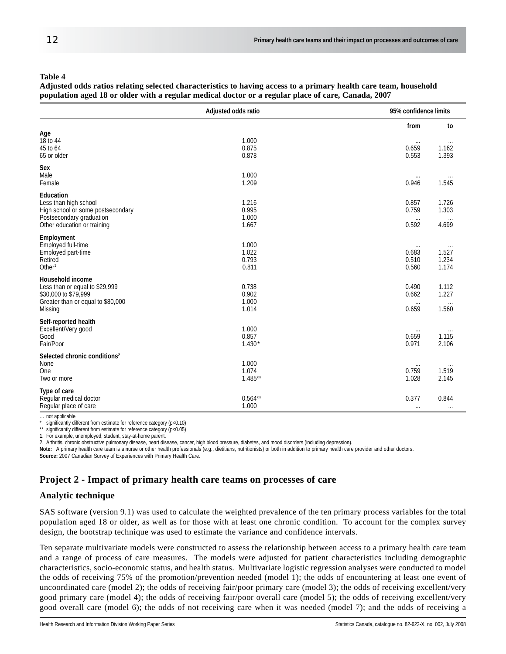#### **Table 4**

**Adjusted odds ratios relating selected characteristics to having access to a primary health care team, household population aged 18 or older with a regular medical doctor or a regular place of care, Canada, 2007**

|                                                                                                                                    | Adjusted odds ratio              | 95% confidence limits                                                      |
|------------------------------------------------------------------------------------------------------------------------------------|----------------------------------|----------------------------------------------------------------------------|
|                                                                                                                                    |                                  | from<br>to                                                                 |
| Age<br>18 to 44<br>45 to 64<br>65 or older                                                                                         | 1.000<br>0.875<br>0.878          | $\cdots$<br>$\cdots$<br>0.659<br>1.162<br>0.553<br>1.393                   |
| Sex<br>Male<br>Female                                                                                                              | 1.000<br>1.209                   | $\cdots$<br>0.946<br>1.545                                                 |
| Education<br>Less than high school<br>High school or some postsecondary<br>Postsecondary graduation<br>Other education or training | 1.216<br>0.995<br>1.000<br>1.667 | 0.857<br>1.726<br>1.303<br>0.759<br>$\cdots$<br>$\cdots$<br>0.592<br>4.699 |
| Employment<br>Employed full-time<br>Employed part-time<br>Retired<br>Other <sup>1</sup>                                            | 1.000<br>1.022<br>0.793<br>0.811 | $\cdots$<br>$\cdots$<br>1.527<br>0.683<br>0.510<br>1.234<br>0.560<br>1.174 |
| Household income<br>Less than or equal to \$29,999<br>\$30,000 to \$79,999<br>Greater than or equal to \$80,000<br>Missing         | 0.738<br>0.902<br>1.000<br>1.014 | 0.490<br>1.112<br>1.227<br>0.662<br>$\cdots$<br>$\ldots$<br>0.659<br>1.560 |
| Self-reported health<br>Excellent/Very good<br>Good<br>Fair/Poor                                                                   | 1.000<br>0.857<br>$1.430*$       | $\cdots$<br>$\cdots$<br>1.115<br>0.659<br>0.971<br>2.106                   |
| Selected chronic conditions <sup>2</sup><br>None<br>One<br>Two or more                                                             | 1.000<br>1.074<br>$1.485***$     | $\cdots$<br>0.759<br>1.519<br>1.028<br>2.145                               |
| Type of care<br>Regular medical doctor<br>Regular place of care                                                                    | $0.564***$<br>1.000              | 0.844<br>0.377<br>$\cdots$<br>$\cdots$                                     |

… not applicable

significantly different from estimate for reference category (p<0.10)

\*\* significantly different from estimate for reference category (p<0.05)

1. For example, unemployed, student, stay-at-home parent.

2. Arthritis, chronic obstructive pulmonary disease, heart disease, cancer, high blood pressure, diabetes, and mood disorders (including depression).

**Note:** A primary health care team is a nurse or other health professionals (e.g., dietitians, nutritionists) or both in addition to primary health care provider and other doctors.

**Source:** 2007 Canadian Survey of Experiences with Primary Health Care.

### **Project 2 - Impact of primary health care teams on processes of care**

#### **Analytic technique**

SAS software (version 9.1) was used to calculate the weighted prevalence of the ten primary process variables for the total population aged 18 or older, as well as for those with at least one chronic condition. To account for the complex survey design, the bootstrap technique was used to estimate the variance and confidence intervals.

Ten separate multivariate models were constructed to assess the relationship between access to a primary health care team and a range of process of care measures. The models were adjusted for patient characteristics including demographic characteristics, socio-economic status, and health status. Multivariate logistic regression analyses were conducted to model the odds of receiving 75% of the promotion/prevention needed (model 1); the odds of encountering at least one event of uncoordinated care (model 2); the odds of receiving fair/poor primary care (model 3); the odds of receiving excellent/very good primary care (model 4); the odds of receiving fair/poor overall care (model 5); the odds of receiving excellent/very good overall care (model 6); the odds of not receiving care when it was needed (model 7); and the odds of receiving a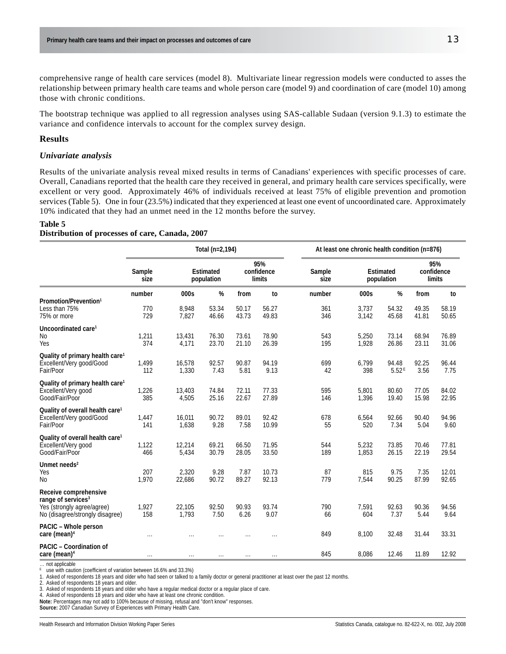comprehensive range of health care services (model 8). Multivariate linear regression models were conducted to asses the relationship between primary health care teams and whole person care (model 9) and coordination of care (model 10) among those with chronic conditions.

The bootstrap technique was applied to all regression analyses using SAS-callable Sudaan (version 9.1.3) to estimate the variance and confidence intervals to account for the complex survey design.

#### **Results**

#### *Univariate analysis*

Results of the univariate analysis reveal mixed results in terms of Canadians' experiences with specific processes of care. Overall, Canadians reported that the health care they received in general, and primary health care services specifically, were excellent or very good. Approximately 46% of individuals received at least 75% of eligible prevention and promotion services (Table 5). One in four (23.5%) indicated that they experienced at least one event of uncoordinated care. Approximately 10% indicated that they had an unmet need in the 12 months before the survey.

#### **Table 5**

#### **Distribution of processes of care, Canada, 2007**

|                                                                                                                          | Total (n=2,194) |                 |                         |                |                             | At least one chronic health condition (n=876) |                |                         |                |                                    |
|--------------------------------------------------------------------------------------------------------------------------|-----------------|-----------------|-------------------------|----------------|-----------------------------|-----------------------------------------------|----------------|-------------------------|----------------|------------------------------------|
|                                                                                                                          | Sample<br>size  |                 | Estimated<br>population |                | 95%<br>confidence<br>limits | Sample<br>size                                |                | Estimated<br>population |                | 95%<br>confidence<br><b>limits</b> |
|                                                                                                                          | number          | 000s            | %                       | from           | to                          | number                                        | 000s           | $\%$                    | from           | to                                 |
| Promotion/Prevention <sup>1</sup><br>Less than 75%<br>75% or more                                                        | 770<br>729      | 8,948<br>7,827  | 53.34<br>46.66          | 50.17<br>43.73 | 56.27<br>49.83              | 361<br>346                                    | 3,737<br>3,142 | 54.32<br>45.68          | 49.35<br>41.81 | 58.19<br>50.65                     |
| Uncoordinated care <sup>1</sup><br>N <sub>o</sub><br>Yes                                                                 | 1,211<br>374    | 13,431<br>4,171 | 76.30<br>23.70          | 73.61<br>21.10 | 78.90<br>26.39              | 543<br>195                                    | 5,250<br>1,928 | 73.14<br>26.86          | 68.94<br>23.11 | 76.89<br>31.06                     |
| Quality of primary health care <sup>1</sup><br>Excellent/Very good/Good<br>Fair/Poor                                     | 1,499<br>112    | 16,578<br>1,330 | 92.57<br>7.43           | 90.87<br>5.81  | 94.19<br>9.13               | 699<br>42                                     | 6,799<br>398   | 94.48<br>5.52E          | 92.25<br>3.56  | 96.44<br>7.75                      |
| Quality of primary health care <sup>1</sup><br>Excellent/Very good<br>Good/Fair/Poor                                     | 1,226<br>385    | 13,403<br>4,505 | 74.84<br>25.16          | 72.11<br>22.67 | 77.33<br>27.89              | 595<br>146                                    | 5.801<br>1,396 | 80.60<br>19.40          | 77.05<br>15.98 | 84.02<br>22.95                     |
| Quality of overall health care <sup>1</sup><br>Excellent/Very good/Good<br>Fair/Poor                                     | 1,447<br>141    | 16,011<br>1,638 | 90.72<br>9.28           | 89.01<br>7.58  | 92.42<br>10.99              | 678<br>55                                     | 6,564<br>520   | 92.66<br>7.34           | 90.40<br>5.04  | 94.96<br>9.60                      |
| Quality of overall health care <sup>1</sup><br>Excellent/Very good<br>Good/Fair/Poor                                     | 1,122<br>466    | 12,214<br>5,434 | 69.21<br>30.79          | 66.50<br>28.05 | 71.95<br>33.50              | 544<br>189                                    | 5,232<br>1,853 | 73.85<br>26.15          | 70.46<br>22.19 | 77.81<br>29.54                     |
| Unmet needs $2$<br>Yes<br>N <sub>o</sub>                                                                                 | 207<br>1,970    | 2,320<br>22,686 | 9.28<br>90.72           | 7.87<br>89.27  | 10.73<br>92.13              | 87<br>779                                     | 815<br>7,544   | 9.75<br>90.25           | 7.35<br>87.99  | 12.01<br>92.65                     |
| Receive comprehensive<br>range of services <sup>3</sup><br>Yes (strongly agree/agree)<br>No (disagree/strongly disagree) | 1,927<br>158    | 22,105<br>1,793 | 92.50<br>7.50           | 90.93<br>6.26  | 93.74<br>9.07               | 790<br>66                                     | 7,591<br>604   | 92.63<br>7.37           | 90.36<br>5.44  | 94.56<br>9.64                      |
| PACIC - Whole person<br>care (mean) <sup>4</sup>                                                                         | $\cdots$        |                 |                         |                | $\cdots$                    | 849                                           | 8,100          | 32.48                   | 31.44          | 33.31                              |
| PACIC - Coordination of<br>care (mean) <sup>4</sup>                                                                      | $\cdots$        | $\cdots$        | .                       | $\cdots$       | $\cdots$                    | 845                                           | 8,086          | 12.46                   | 11.89          | 12.92                              |

… not applicable

E use with caution (coefficient of variation between 16.6% and 33.3%)<br>1. Asked of respondents 18 years and older who had seen or talked to

1. Asked of respondents 18 years and older who had seen or talked to a family doctor or general practitioner at least over the past 12 months.<br>2. Asked of respondents 18 years and older.

2. Asked of respondents 18 years and older.<br>3. Asked of respondents 18 years and older

3. Asked of respondents 18 years and older who have a regular medical doctor or a regular place of care.

4. Asked of respondents 18 years and older who have at least one chronic condition.

**Note:** Percentages may not add to 100% because of missing, refusal and "don't know" responses.

**Source:** 2007 Canadian Survey of Experiences with Primary Health Care.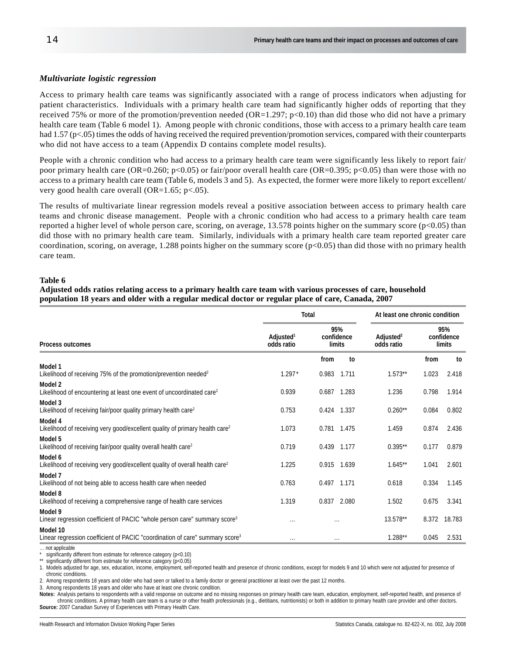#### *Multivariate logistic regression*

Access to primary health care teams was significantly associated with a range of process indicators when adjusting for patient characteristics. Individuals with a primary health care team had significantly higher odds of reporting that they received 75% or more of the promotion/prevention needed (OR=1.297; p<0.10) than did those who did not have a primary health care team (Table 6 model 1). Among people with chronic conditions, those with access to a primary health care team had 1.57 (p<.05) times the odds of having received the required prevention/promotion services, compared with their counterparts who did not have access to a team (Appendix D contains complete model results).

People with a chronic condition who had access to a primary health care team were significantly less likely to report fair/ poor primary health care (OR=0.260; p<0.05) or fair/poor overall health care (OR=0.395; p<0.05) than were those with no access to a primary health care team (Table 6, models 3 and 5). As expected, the former were more likely to report excellent/ very good health care overall (OR=1.65; p<.05).

The results of multivariate linear regression models reveal a positive association between access to primary health care teams and chronic disease management. People with a chronic condition who had access to a primary health care team reported a higher level of whole person care, scoring, on average, 13.578 points higher on the summary score ( $p<0.05$ ) than did those with no primary health care team. Similarly, individuals with a primary health care team reported greater care coordination, scoring, on average, 1.288 points higher on the summary score ( $p<0.05$ ) than did those with no primary health care team.

#### **Table 6**

**Adjusted odds ratios relating access to a primary health care team with various processes of care, household population 18 years and older with a regular medical doctor or regular place of care, Canada, 2007**

|                                                                                                      | Total                               |                             |                                     | At least one chronic condition |                             |  |  |
|------------------------------------------------------------------------------------------------------|-------------------------------------|-----------------------------|-------------------------------------|--------------------------------|-----------------------------|--|--|
| <b>Process outcomes</b>                                                                              | Adjusted <sup>1</sup><br>odds ratio | 95%<br>confidence<br>limits | Adjusted <sup>2</sup><br>odds ratio |                                | 95%<br>confidence<br>limits |  |  |
|                                                                                                      |                                     | to<br>from                  |                                     | from                           | to                          |  |  |
| Model 1<br>Likelihood of receiving 75% of the promotion/prevention needed <sup>2</sup>               | $1.297*$                            | 0.983<br>1.711              | $1.573**$                           | 1.023                          | 2.418                       |  |  |
| Model 2<br>Likelihood of encountering at least one event of uncoordinated care <sup>2</sup>          | 0.939                               | 0.687<br>1.283              | 1.236                               | 0.798                          | 1.914                       |  |  |
| Model 3<br>Likelihood of receiving fair/poor quality primary health care <sup>2</sup>                | 0.753                               | 0.424 1.337                 | $0.260**$                           | 0.084                          | 0.802                       |  |  |
| Model 4<br>Likelihood of receiving very good/excellent quality of primary health care <sup>2</sup>   | 1.073                               | 0.781 1.475                 | 1.459                               | 0.874                          | 2.436                       |  |  |
| Model 5<br>Likelihood of receiving fair/poor quality overall health care <sup>2</sup>                | 0.719                               | 0.439 1.177                 | $0.395**$                           | 0.177                          | 0.879                       |  |  |
| Model 6<br>Likelihood of receiving very good/excellent quality of overall health care <sup>2</sup>   | 1.225                               | 0.915<br>1.639              | $1.645**$                           | 1.041                          | 2.601                       |  |  |
| Model 7<br>Likelihood of not being able to access health care when needed                            | 0.763                               | 0.497<br>1.171              | 0.618                               | 0.334                          | 1.145                       |  |  |
| Model 8<br>Likelihood of receiving a comprehensive range of health care services                     | 1.319                               | 2.080<br>0.837              | 1.502                               | 0.675                          | 3.341                       |  |  |
| Model 9<br>Linear regression coefficient of PACIC "whole person care" summary score <sup>3</sup>     | $\cdots$                            |                             | 13.578**                            | 8.372                          | 18.783                      |  |  |
| Model 10<br>Linear regression coefficient of PACIC "coordination of care" summary score <sup>3</sup> | $\cdots$                            | $\cdots$                    | $1.288**$                           | 0.045                          | 2.531                       |  |  |
| not annlicable                                                                                       |                                     |                             |                                     |                                |                             |  |  |

… not applicable

significantly different from estimate for reference category (p<0.10)

significantly different from estimate for reference category (p<0.05)

1. Models adjusted for age, sex, education, income, employment, self-reported health and presence of chronic conditions, except for models 9 and 10 which were not adjusted for presence of chronic conditions.

2. Among respondents 18 years and older who had seen or talked to a family doctor or general practitioner at least over the past 12 months.

3. Among respondents 18 years and older who have at least one chronic condition.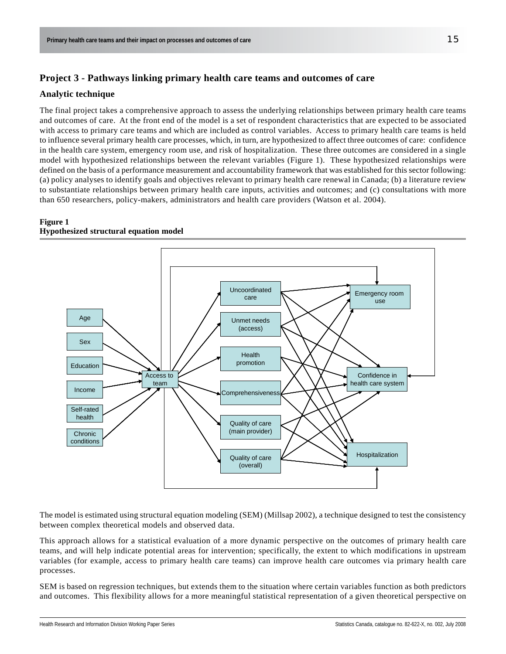### **Project 3 - Pathways linking primary health care teams and outcomes of care**

#### **Analytic technique**

The final project takes a comprehensive approach to assess the underlying relationships between primary health care teams and outcomes of care. At the front end of the model is a set of respondent characteristics that are expected to be associated with access to primary care teams and which are included as control variables. Access to primary health care teams is held to influence several primary health care processes, which, in turn, are hypothesized to affect three outcomes of care: confidence in the health care system, emergency room use, and risk of hospitalization. These three outcomes are considered in a single model with hypothesized relationships between the relevant variables (Figure 1). These hypothesized relationships were defined on the basis of a performance measurement and accountability framework that was established for this sector following: (a) policy analyses to identify goals and objectives relevant to primary health care renewal in Canada; (b) a literature review to substantiate relationships between primary health care inputs, activities and outcomes; and (c) consultations with more than 650 researchers, policy-makers, administrators and health care providers (Watson et al. 2004).

#### **Figure 1 Hypothesized structural equation model**



The model is estimated using structural equation modeling (SEM) (Millsap 2002), a technique designed to test the consistency between complex theoretical models and observed data.

This approach allows for a statistical evaluation of a more dynamic perspective on the outcomes of primary health care teams, and will help indicate potential areas for intervention; specifically, the extent to which modifications in upstream variables (for example, access to primary health care teams) can improve health care outcomes via primary health care processes.

SEM is based on regression techniques, but extends them to the situation where certain variables function as both predictors and outcomes. This flexibility allows for a more meaningful statistical representation of a given theoretical perspective on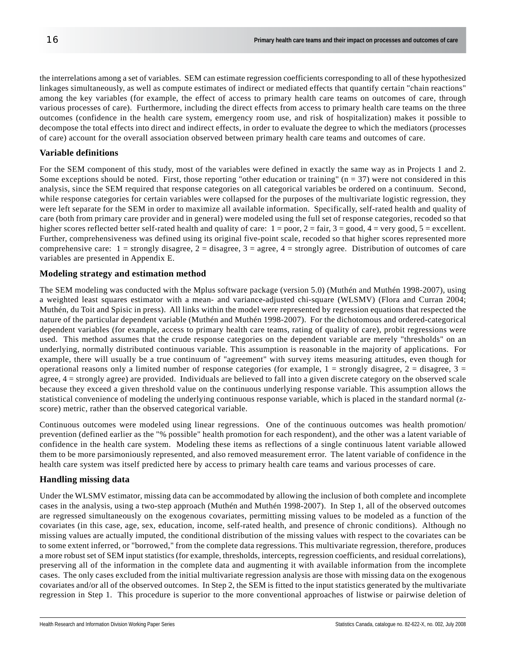the interrelations among a set of variables. SEM can estimate regression coefficients corresponding to all of these hypothesized linkages simultaneously, as well as compute estimates of indirect or mediated effects that quantify certain "chain reactions" among the key variables (for example, the effect of access to primary health care teams on outcomes of care, through various processes of care). Furthermore, including the direct effects from access to primary health care teams on the three outcomes (confidence in the health care system, emergency room use, and risk of hospitalization) makes it possible to decompose the total effects into direct and indirect effects, in order to evaluate the degree to which the mediators (processes of care) account for the overall association observed between primary health care teams and outcomes of care.

#### **Variable definitions**

For the SEM component of this study, most of the variables were defined in exactly the same way as in Projects 1 and 2. Some exceptions should be noted. First, those reporting "other education or training"  $(n = 37)$  were not considered in this analysis, since the SEM required that response categories on all categorical variables be ordered on a continuum. Second, while response categories for certain variables were collapsed for the purposes of the multivariate logistic regression, they were left separate for the SEM in order to maximize all available information. Specifically, self-rated health and quality of care (both from primary care provider and in general) were modeled using the full set of response categories, recoded so that higher scores reflected better self-rated health and quality of care:  $1 = poor$ ,  $2 = fair$ ,  $3 = good$ ,  $4 = very good$ ,  $5 = excellent$ . Further, comprehensiveness was defined using its original five-point scale, recoded so that higher scores represented more comprehensive care:  $1 =$  strongly disagree,  $2 =$  disagree,  $3 =$  agree,  $4 =$  strongly agree. Distribution of outcomes of care variables are presented in Appendix E.

#### **Modeling strategy and estimation method**

The SEM modeling was conducted with the Mplus software package (version 5.0) (Muthén and Muthén 1998-2007), using a weighted least squares estimator with a mean- and variance-adjusted chi-square (WLSMV) (Flora and Curran 2004; Muthén, du Toit and Spisic in press). All links within the model were represented by regression equations that respected the nature of the particular dependent variable (Muthén and Muthén 1998-2007). For the dichotomous and ordered-categorical dependent variables (for example, access to primary health care teams, rating of quality of care), probit regressions were used. This method assumes that the crude response categories on the dependent variable are merely "thresholds" on an underlying, normally distributed continuous variable. This assumption is reasonable in the majority of applications. For example, there will usually be a true continuum of "agreement" with survey items measuring attitudes, even though for operational reasons only a limited number of response categories (for example,  $1 =$  strongly disagree,  $2 =$  disagree,  $3 =$ agree, 4 = strongly agree) are provided. Individuals are believed to fall into a given discrete category on the observed scale because they exceed a given threshold value on the continuous underlying response variable. This assumption allows the statistical convenience of modeling the underlying continuous response variable, which is placed in the standard normal (zscore) metric, rather than the observed categorical variable.

Continuous outcomes were modeled using linear regressions. One of the continuous outcomes was health promotion/ prevention (defined earlier as the "% possible" health promotion for each respondent), and the other was a latent variable of confidence in the health care system. Modeling these items as reflections of a single continuous latent variable allowed them to be more parsimoniously represented, and also removed measurement error. The latent variable of confidence in the health care system was itself predicted here by access to primary health care teams and various processes of care.

#### **Handling missing data**

Under the WLSMV estimator, missing data can be accommodated by allowing the inclusion of both complete and incomplete cases in the analysis, using a two-step approach (Muthén and Muthén 1998-2007). In Step 1, all of the observed outcomes are regressed simultaneously on the exogenous covariates, permitting missing values to be modeled as a function of the covariates (in this case, age, sex, education, income, self-rated health, and presence of chronic conditions). Although no missing values are actually imputed, the conditional distribution of the missing values with respect to the covariates can be to some extent inferred, or "borrowed," from the complete data regressions. This multivariate regression, therefore, produces a more robust set of SEM input statistics (for example, thresholds, intercepts, regression coefficients, and residual correlations), preserving all of the information in the complete data and augmenting it with available information from the incomplete cases. The only cases excluded from the initial multivariate regression analysis are those with missing data on the exogenous covariates and/or all of the observed outcomes. In Step 2, the SEM is fitted to the input statistics generated by the multivariate regression in Step 1. This procedure is superior to the more conventional approaches of listwise or pairwise deletion of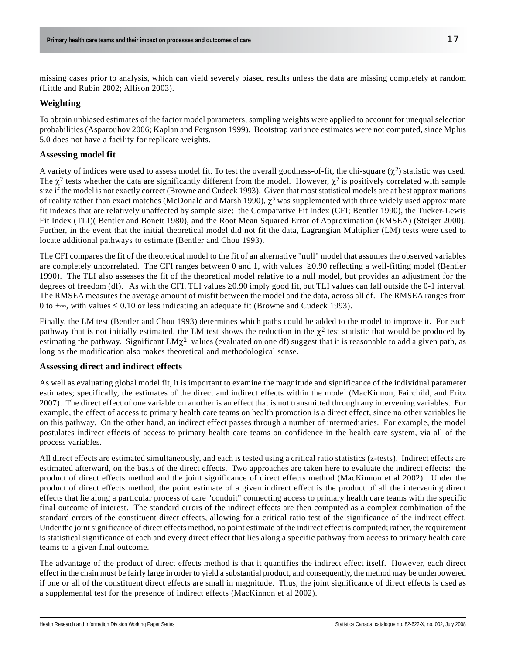missing cases prior to analysis, which can yield severely biased results unless the data are missing completely at random (Little and Rubin 2002; Allison 2003).

### **Weighting**

To obtain unbiased estimates of the factor model parameters, sampling weights were applied to account for unequal selection probabilities (Asparouhov 2006; Kaplan and Ferguson 1999). Bootstrap variance estimates were not computed, since Mplus 5.0 does not have a facility for replicate weights.

#### **Assessing model fit**

A variety of indices were used to assess model fit. To test the overall goodness-of-fit, the chi-square  $(\chi^2)$  statistic was used. The  $\chi^2$  tests whether the data are significantly different from the model. However,  $\chi^2$  is positively correlated with sample size if the model is not exactly correct (Browne and Cudeck 1993). Given that most statistical models are at best approximations of reality rather than exact matches (McDonald and Marsh 1990),  $\chi^2$  was supplemented with three widely used approximate fit indexes that are relatively unaffected by sample size: the Comparative Fit Index (CFI; Bentler 1990), the Tucker-Lewis Fit Index (TLI)( Bentler and Bonett 1980), and the Root Mean Squared Error of Approximation (RMSEA) (Steiger 2000). Further, in the event that the initial theoretical model did not fit the data, Lagrangian Multiplier (LM) tests were used to locate additional pathways to estimate (Bentler and Chou 1993).

The CFI compares the fit of the theoretical model to the fit of an alternative "null" model that assumes the observed variables are completely uncorrelated. The CFI ranges between 0 and 1, with values  $\geq 0.90$  reflecting a well-fitting model (Bentler 1990). The TLI also assesses the fit of the theoretical model relative to a null model, but provides an adjustment for the degrees of freedom (df). As with the CFI, TLI values  $\geq 0.90$  imply good fit, but TLI values can fall outside the 0-1 interval. The RMSEA measures the average amount of misfit between the model and the data, across all df. The RMSEA ranges from 0 to + $\infty$ , with values  $\leq 0.10$  or less indicating an adequate fit (Browne and Cudeck 1993).

Finally, the LM test (Bentler and Chou 1993) determines which paths could be added to the model to improve it. For each pathway that is not initially estimated, the LM test shows the reduction in the  $\chi^2$  test statistic that would be produced by estimating the pathway. Significant  $LM\chi^2$  values (evaluated on one df) suggest that it is reasonable to add a given path, as long as the modification also makes theoretical and methodological sense.

#### **Assessing direct and indirect effects**

As well as evaluating global model fit, it is important to examine the magnitude and significance of the individual parameter estimates; specifically, the estimates of the direct and indirect effects within the model (MacKinnon, Fairchild, and Fritz 2007). The direct effect of one variable on another is an effect that is not transmitted through any intervening variables. For example, the effect of access to primary health care teams on health promotion is a direct effect, since no other variables lie on this pathway. On the other hand, an indirect effect passes through a number of intermediaries. For example, the model postulates indirect effects of access to primary health care teams on confidence in the health care system, via all of the process variables.

All direct effects are estimated simultaneously, and each is tested using a critical ratio statistics (z-tests). Indirect effects are estimated afterward, on the basis of the direct effects. Two approaches are taken here to evaluate the indirect effects: the product of direct effects method and the joint significance of direct effects method (MacKinnon et al 2002). Under the product of direct effects method, the point estimate of a given indirect effect is the product of all the intervening direct effects that lie along a particular process of care "conduit" connecting access to primary health care teams with the specific final outcome of interest. The standard errors of the indirect effects are then computed as a complex combination of the standard errors of the constituent direct effects, allowing for a critical ratio test of the significance of the indirect effect. Under the joint significance of direct effects method, no point estimate of the indirect effect is computed; rather, the requirement is statistical significance of each and every direct effect that lies along a specific pathway from access to primary health care teams to a given final outcome.

The advantage of the product of direct effects method is that it quantifies the indirect effect itself. However, each direct effect in the chain must be fairly large in order to yield a substantial product, and consequently, the method may be underpowered if one or all of the constituent direct effects are small in magnitude. Thus, the joint significance of direct effects is used as a supplemental test for the presence of indirect effects (MacKinnon et al 2002).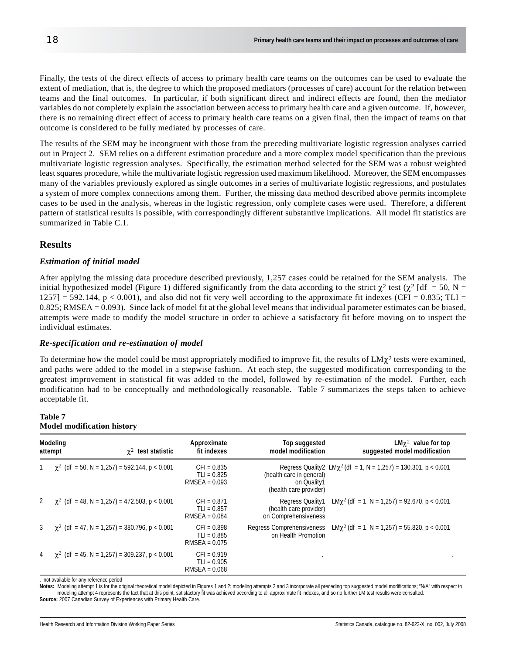Finally, the tests of the direct effects of access to primary health care teams on the outcomes can be used to evaluate the extent of mediation, that is, the degree to which the proposed mediators (processes of care) account for the relation between teams and the final outcomes. In particular, if both significant direct and indirect effects are found, then the mediator variables do not completely explain the association between access to primary health care and a given outcome. If, however, there is no remaining direct effect of access to primary health care teams on a given final, then the impact of teams on that outcome is considered to be fully mediated by processes of care.

The results of the SEM may be incongruent with those from the preceding multivariate logistic regression analyses carried out in Project 2. SEM relies on a different estimation procedure and a more complex model specification than the previous multivariate logistic regression analyses. Specifically, the estimation method selected for the SEM was a robust weighted least squares procedure, while the multivariate logistic regression used maximum likelihood. Moreover, the SEM encompasses many of the variables previously explored as single outcomes in a series of multivariate logistic regressions, and postulates a system of more complex connections among them. Further, the missing data method described above permits incomplete cases to be used in the analysis, whereas in the logistic regression, only complete cases were used. Therefore, a different pattern of statistical results is possible, with correspondingly different substantive implications. All model fit statistics are summarized in Table C.1.

#### **Results**

#### *Estimation of initial model*

After applying the missing data procedure described previously, 1,257 cases could be retained for the SEM analysis. The initial hypothesized model (Figure 1) differed significantly from the data according to the strict  $\chi^2$  test ( $\chi^2$  [df = 50, N =  $1257$ ] = 592.144, p < 0.001), and also did not fit very well according to the approximate fit indexes (CFI = 0.835; TLI = 0.825; RMSEA = 0.093). Since lack of model fit at the global level means that individual parameter estimates can be biased, attempts were made to modify the model structure in order to achieve a satisfactory fit before moving on to inspect the individual estimates.

#### *Re-specification and re-estimation of model*

To determine how the model could be most appropriately modified to improve fit, the results of  $LM\chi^2$  tests were examined, and paths were added to the model in a stepwise fashion. At each step, the suggested modification corresponding to the greatest improvement in statistical fit was added to the model, followed by re-estimation of the model. Further, each modification had to be conceptually and methodologically reasonable. Table 7 summarizes the steps taken to achieve acceptable fit.

#### **Table 7 Model modification history**

| attempt | Modeling<br>$\gamma^2$ test statistic                | Approximate<br>fit indexes                        | Top suggested<br>model modification                                | $LM\chi^2$ value for top<br>suggested model modification                      |
|---------|------------------------------------------------------|---------------------------------------------------|--------------------------------------------------------------------|-------------------------------------------------------------------------------|
|         | $\chi^2$ (df = 50, N = 1,257) = 592.144, p < 0.001   | $CFI = 0.835$<br>$TLI = 0.825$<br>$RMSEA = 0.093$ | (health care in general)<br>on Quality1<br>(health care provider)  | Regress Quality2 LM $\chi^2$ (df = 1, N = 1,257) = 130.301, p < 0.001         |
|         | 2 $\chi^2$ (df = 48, N = 1,257) = 472.503, p < 0.001 | $CFI = 0.871$<br>$TLI = 0.857$<br>$RMSEA = 0.084$ | Regress Quality1<br>(health care provider)<br>on Comprehensiveness | LM $\chi^2$ (df = 1, N = 1,257) = 92.670, p < 0.001                           |
|         | $\chi^2$ (df = 47, N = 1,257) = 380.796, p < 0.001   | $CFI = 0.898$<br>$TLI = 0.885$<br>$RMSEA = 0.075$ | on Health Promotion                                                | Regress Comprehensiveness LM $\chi^2$ (df = 1, N = 1,257) = 55.820, p < 0.001 |
|         | $\gamma^2$ (df = 45, N = 1,257) = 309.237, p < 0.001 | $CFI = 0.919$<br>$TLI = 0.905$<br>$RMSEA = 0.068$ |                                                                    |                                                                               |

. not available for any reference period

 **Notes:** Modeling attempt 1 is for the original theoretical model depicted in Figures 1 and 2; modeling attempts 2 and 3 incorporate all preceding top suggested model modifications; "N/A" with respect to modeling attempt 4 represents the fact that at this point, satisfactory fit was achieved according to all approximate fit indexes, and so no further LM test results were consulted. **Source:** 2007 Canadian Survey of Experiences with Primary Health Care.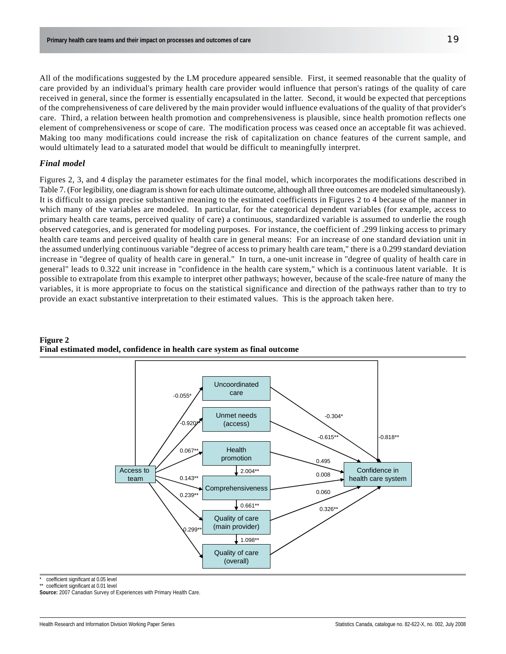All of the modifications suggested by the LM procedure appeared sensible. First, it seemed reasonable that the quality of care provided by an individual's primary health care provider would influence that person's ratings of the quality of care received in general, since the former is essentially encapsulated in the latter. Second, it would be expected that perceptions of the comprehensiveness of care delivered by the main provider would influence evaluations of the quality of that provider's care. Third, a relation between health promotion and comprehensiveness is plausible, since health promotion reflects one element of comprehensiveness or scope of care. The modification process was ceased once an acceptable fit was achieved. Making too many modifications could increase the risk of capitalization on chance features of the current sample, and would ultimately lead to a saturated model that would be difficult to meaningfully interpret.

#### *Final model*

Figures 2, 3, and 4 display the parameter estimates for the final model, which incorporates the modifications described in Table 7. (For legibility, one diagram is shown for each ultimate outcome, although all three outcomes are modeled simultaneously). It is difficult to assign precise substantive meaning to the estimated coefficients in Figures 2 to 4 because of the manner in which many of the variables are modeled. In particular, for the categorical dependent variables (for example, access to primary health care teams, perceived quality of care) a continuous, standardized variable is assumed to underlie the rough observed categories, and is generated for modeling purposes. For instance, the coefficient of .299 linking access to primary health care teams and perceived quality of health care in general means: For an increase of one standard deviation unit in the assumed underlying continuous variable "degree of access to primary health care team," there is a 0.299 standard deviation increase in "degree of quality of health care in general." In turn, a one-unit increase in "degree of quality of health care in general" leads to 0.322 unit increase in "confidence in the health care system," which is a continuous latent variable. It is possible to extrapolate from this example to interpret other pathways; however, because of the scale-free nature of many the variables, it is more appropriate to focus on the statistical significance and direction of the pathways rather than to try to provide an exact substantive interpretation to their estimated values. This is the approach taken here.





coefficient significant at 0.05 level

coefficient significant at 0.01 level

Source: 2007 Canadian Survey of Experiences with Primary Health Care.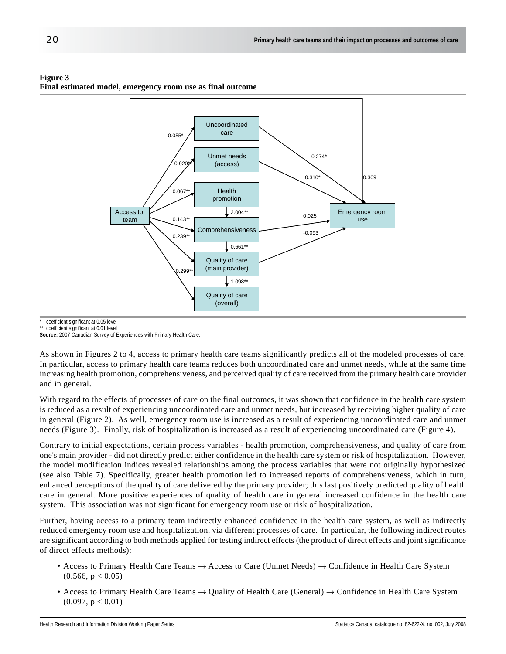

Quality of care (main provider)

 $0.661**$ 

1.098\*\*

299

Quality of care (overall)

## **Figure 3**

**Final estimated model, emergency room use as final outcome**

coefficient significant at 0.05 level

coefficient significant at 0.01 level

Source: 2007 Canadian Survey of Experiences with Primary Health Care.

As shown in Figures 2 to 4, access to primary health care teams significantly predicts all of the modeled processes of care. In particular, access to primary health care teams reduces both uncoordinated care and unmet needs, while at the same time increasing health promotion, comprehensiveness, and perceived quality of care received from the primary health care provider and in general.

With regard to the effects of processes of care on the final outcomes, it was shown that confidence in the health care system is reduced as a result of experiencing uncoordinated care and unmet needs, but increased by receiving higher quality of care in general (Figure 2). As well, emergency room use is increased as a result of experiencing uncoordinated care and unmet needs (Figure 3). Finally, risk of hospitalization is increased as a result of experiencing uncoordinated care (Figure 4).

Contrary to initial expectations, certain process variables - health promotion, comprehensiveness, and quality of care from one's main provider - did not directly predict either confidence in the health care system or risk of hospitalization. However, the model modification indices revealed relationships among the process variables that were not originally hypothesized (see also Table 7). Specifically, greater health promotion led to increased reports of comprehensiveness, which in turn, enhanced perceptions of the quality of care delivered by the primary provider; this last positively predicted quality of health care in general. More positive experiences of quality of health care in general increased confidence in the health care system. This association was not significant for emergency room use or risk of hospitalization.

Further, having access to a primary team indirectly enhanced confidence in the health care system, as well as indirectly reduced emergency room use and hospitalization, via different processes of care. In particular, the following indirect routes are significant according to both methods applied for testing indirect effects (the product of direct effects and joint significance of direct effects methods):

- Access to Primary Health Care Teams → Access to Care (Unmet Needs) → Confidence in Health Care System  $(0.566, p < 0.05)$
- Access to Primary Health Care Teams  $\rightarrow$  Quality of Health Care (General)  $\rightarrow$  Confidence in Health Care System  $(0.097, p < 0.01)$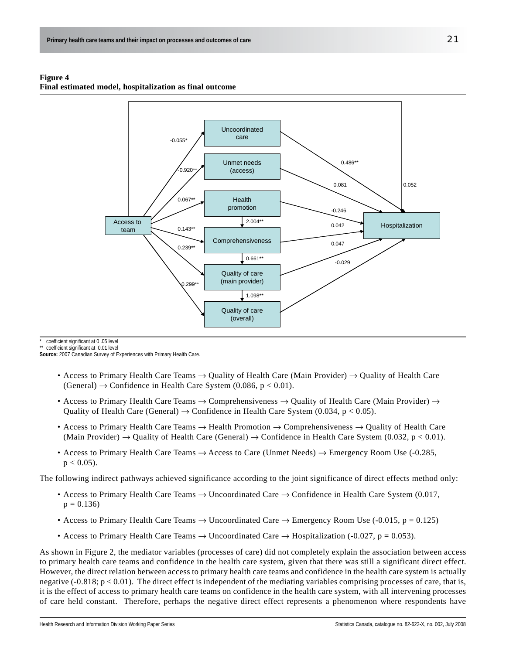**Figure 4 Final estimated model, hospitalization as final outcome**



coefficient significant at 0 .05 level

\*\* coefficient significant at 0.01 level

**Source:** 2007 Canadian Survey of Experiences with Primary Health Care.

- Access to Primary Health Care Teams  $\rightarrow$  Quality of Health Care (Main Provider)  $\rightarrow$  Quality of Health Care (General)  $\rightarrow$  Confidence in Health Care System (0.086, p < 0.01).
- Access to Primary Health Care Teams  $\rightarrow$  Comprehensiveness  $\rightarrow$  Quality of Health Care (Main Provider)  $\rightarrow$ Quality of Health Care (General)  $\rightarrow$  Confidence in Health Care System (0.034, p < 0.05).
- Access to Primary Health Care Teams → Health Promotion → Comprehensiveness → Quality of Health Care (Main Provider)  $\rightarrow$  Quality of Health Care (General)  $\rightarrow$  Confidence in Health Care System (0.032, p < 0.01).
- Access to Primary Health Care Teams  $\rightarrow$  Access to Care (Unmet Needs)  $\rightarrow$  Emergency Room Use (-0.285,  $p < 0.05$ ).

The following indirect pathways achieved significance according to the joint significance of direct effects method only:

- Access to Primary Health Care Teams  $\rightarrow$  Uncoordinated Care  $\rightarrow$  Confidence in Health Care System (0.017,  $p = 0.136$
- Access to Primary Health Care Teams  $\rightarrow$  Uncoordinated Care  $\rightarrow$  Emergency Room Use (-0.015, p = 0.125)
- Access to Primary Health Care Teams  $\rightarrow$  Uncoordinated Care  $\rightarrow$  Hospitalization (-0.027, p = 0.053).

As shown in Figure 2, the mediator variables (processes of care) did not completely explain the association between access to primary health care teams and confidence in the health care system, given that there was still a significant direct effect. However, the direct relation between access to primary health care teams and confidence in the health care system is actually negative  $(-0.818; p < 0.01)$ . The direct effect is independent of the mediating variables comprising processes of care, that is, it is the effect of access to primary health care teams on confidence in the health care system, with all intervening processes of care held constant. Therefore, perhaps the negative direct effect represents a phenomenon where respondents have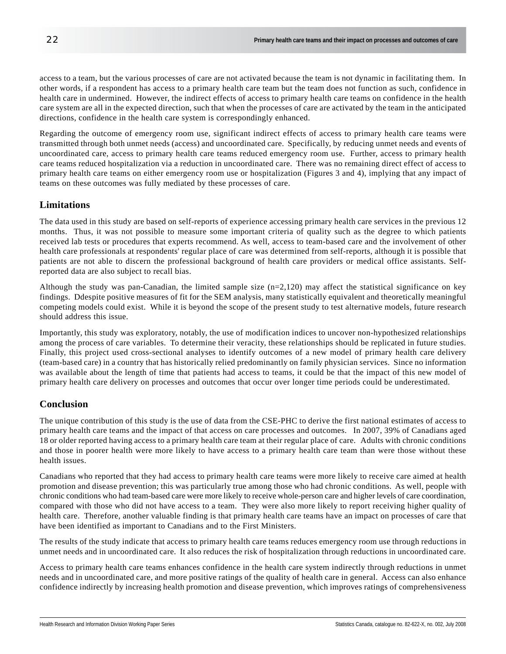access to a team, but the various processes of care are not activated because the team is not dynamic in facilitating them. In other words, if a respondent has access to a primary health care team but the team does not function as such, confidence in health care in undermined. However, the indirect effects of access to primary health care teams on confidence in the health care system are all in the expected direction, such that when the processes of care are activated by the team in the anticipated directions, confidence in the health care system is correspondingly enhanced.

Regarding the outcome of emergency room use, significant indirect effects of access to primary health care teams were transmitted through both unmet needs (access) and uncoordinated care. Specifically, by reducing unmet needs and events of uncoordinated care, access to primary health care teams reduced emergency room use. Further, access to primary health care teams reduced hospitalization via a reduction in uncoordinated care. There was no remaining direct effect of access to primary health care teams on either emergency room use or hospitalization (Figures 3 and 4), implying that any impact of teams on these outcomes was fully mediated by these processes of care.

#### **Limitations**

The data used in this study are based on self-reports of experience accessing primary health care services in the previous 12 months. Thus, it was not possible to measure some important criteria of quality such as the degree to which patients received lab tests or procedures that experts recommend. As well, access to team-based care and the involvement of other health care professionals at respondents' regular place of care was determined from self-reports, although it is possible that patients are not able to discern the professional background of health care providers or medical office assistants. Selfreported data are also subject to recall bias.

Although the study was pan-Canadian, the limited sample size  $(n=2,120)$  may affect the statistical significance on key findings. Ddespite positive measures of fit for the SEM analysis, many statistically equivalent and theoretically meaningful competing models could exist. While it is beyond the scope of the present study to test alternative models, future research should address this issue.

Importantly, this study was exploratory, notably, the use of modification indices to uncover non-hypothesized relationships among the process of care variables. To determine their veracity, these relationships should be replicated in future studies. Finally, this project used cross-sectional analyses to identify outcomes of a new model of primary health care delivery (team-based care) in a country that has historically relied predominantly on family physician services. Since no information was available about the length of time that patients had access to teams, it could be that the impact of this new model of primary health care delivery on processes and outcomes that occur over longer time periods could be underestimated.

### **Conclusion**

The unique contribution of this study is the use of data from the CSE-PHC to derive the first national estimates of access to primary health care teams and the impact of that access on care processes and outcomes. In 2007, 39% of Canadians aged 18 or older reported having access to a primary health care team at their regular place of care. Adults with chronic conditions and those in poorer health were more likely to have access to a primary health care team than were those without these health issues.

Canadians who reported that they had access to primary health care teams were more likely to receive care aimed at health promotion and disease prevention; this was particularly true among those who had chronic conditions. As well, people with chronic conditions who had team-based care were more likely to receive whole-person care and higher levels of care coordination, compared with those who did not have access to a team. They were also more likely to report receiving higher quality of health care. Therefore, another valuable finding is that primary health care teams have an impact on processes of care that have been identified as important to Canadians and to the First Ministers.

The results of the study indicate that access to primary health care teams reduces emergency room use through reductions in unmet needs and in uncoordinated care. It also reduces the risk of hospitalization through reductions in uncoordinated care.

Access to primary health care teams enhances confidence in the health care system indirectly through reductions in unmet needs and in uncoordinated care, and more positive ratings of the quality of health care in general. Access can also enhance confidence indirectly by increasing health promotion and disease prevention, which improves ratings of comprehensiveness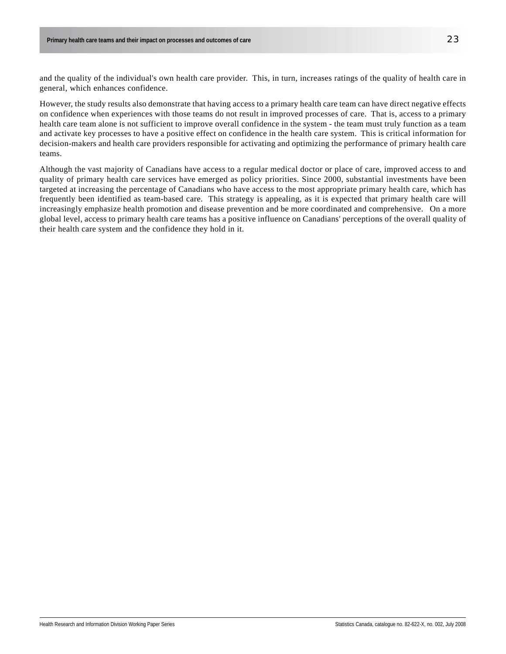and the quality of the individual's own health care provider. This, in turn, increases ratings of the quality of health care in general, which enhances confidence.

However, the study results also demonstrate that having access to a primary health care team can have direct negative effects on confidence when experiences with those teams do not result in improved processes of care. That is, access to a primary health care team alone is not sufficient to improve overall confidence in the system - the team must truly function as a team and activate key processes to have a positive effect on confidence in the health care system. This is critical information for decision-makers and health care providers responsible for activating and optimizing the performance of primary health care teams.

Although the vast majority of Canadians have access to a regular medical doctor or place of care, improved access to and quality of primary health care services have emerged as policy priorities. Since 2000, substantial investments have been targeted at increasing the percentage of Canadians who have access to the most appropriate primary health care, which has frequently been identified as team-based care. This strategy is appealing, as it is expected that primary health care will increasingly emphasize health promotion and disease prevention and be more coordinated and comprehensive. On a more global level, access to primary health care teams has a positive influence on Canadians' perceptions of the overall quality of their health care system and the confidence they hold in it.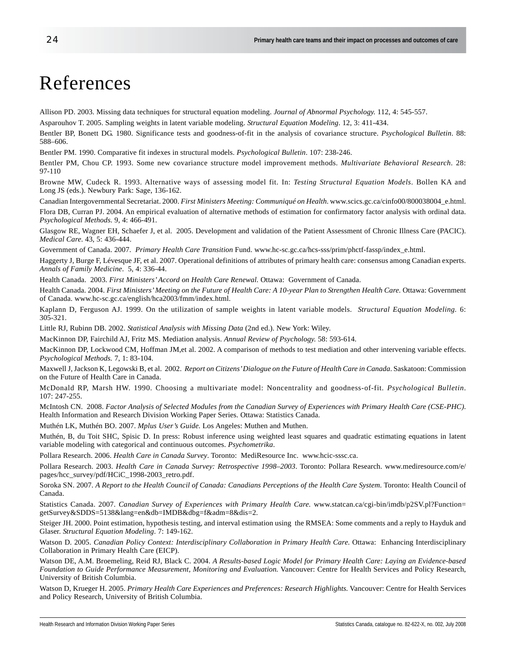# References

Allison PD. 2003. Missing data techniques for structural equation modeling. *Journal of Abnormal Psychology.* 112, 4: 545-557.

Asparouhov T. 2005. Sampling weights in latent variable modeling. *Structural Equation Modeling*. 12, 3: 411-434.

Bentler BP, Bonett DG. 1980. Significance tests and goodness-of-fit in the analysis of covariance structure. *Psychological Bulletin*. 88: 588–606.

Bentler PM. 1990. Comparative fit indexes in structural models. *Psychological Bulletin*. 107: 238-246.

Bentler PM, Chou CP. 1993. Some new covariance structure model improvement methods. *Multivariate Behavioral Research*. 28: 97-110

Browne MW, Cudeck R. 1993. Alternative ways of assessing model fit. In: *Testing Structural Equation Models*. Bollen KA and Long JS (eds.). Newbury Park: Sage, 136-162.

Canadian Intergovernmental Secretariat. 2000. *First Ministers Meeting: Communiqué on Health*. www.scics.gc.ca/cinfo00/800038004\_e.html. Flora DB, Curran PJ. 2004. An empirical evaluation of alternative methods of estimation for confirmatory factor analysis with ordinal data. *Psychological Methods*. 9, 4: 466-491.

Glasgow RE, Wagner EH, Schaefer J, et al. 2005. Development and validation of the Patient Assessment of Chronic Illness Care (PACIC). *Medical Care*. 43, 5: 436-444.

Government of Canada. 2007. *Primary Health Care Transition* Fund. www.hc-sc.gc.ca/hcs-sss/prim/phctf-fassp/index\_e.html.

Haggerty J, Burge F, Lévesque JF, et al. 2007. Operational definitions of attributes of primary health care: consensus among Canadian experts. *Annals of Family Medicine*. 5, 4: 336-44.

Health Canada. 2003. *First Ministers' Accord on Health Care Renewal.* Ottawa: Government of Canada.

Health Canada. 2004. *First Ministers' Meeting on the Future of Health Care: A 10-year Plan to Strengthen Health Care.* Ottawa: Government of Canada. www.hc-sc.gc.ca/english/hca2003/fmm/index.html.

Kaplann D, Ferguson AJ. 1999. On the utilization of sample weights in latent variable models. *Structural Equation Modeling.* 6: 305-321.

Little RJ, Rubinn DB. 2002. *Statistical Analysis with Missing Data* (2nd ed.). New York: Wiley.

MacKinnon DP, Fairchild AJ, Fritz MS. Mediation analysis. *Annual Review of Psychology.* 58: 593-614.

MacKinnon DP, Lockwood CM, Hoffman JM,et al. 2002. A comparison of methods to test mediation and other intervening variable effects. *Psychological Methods.* 7, 1: 83-104.

Maxwell J, Jackson K, Legowski B, et al. 2002. *Report on Citizens' Dialogue on the Future of Health Care in Canada*. Saskatoon: Commission on the Future of Health Care in Canada.

McDonald RP, Marsh HW. 1990. Choosing a multivariate model: Noncentrality and goodness-of-fit. *Psychological Bulletin*. 107: 247-255.

McIntosh CN. 2008. *Factor Analysis of Selected Modules from the Canadian Survey of Experiences with Primary Health Care (CSE-PHC)*. Health Information and Research Division Working Paper Series. Ottawa: Statistics Canada.

Muthén LK, Muthén BO. 2007. *Mplus User's Guide.* Los Angeles: Muthen and Muthen.

Muthén, B, du Toit SHC, Spisic D. In press: Robust inference using weighted least squares and quadratic estimating equations in latent variable modeling with categorical and continuous outcomes. *Psychometrika*.

Pollara Research. 2006. *Health Care in Canada Survey*. Toronto: MediResource Inc. www.hcic-sssc.ca.

Pollara Research. 2003. *Health Care in Canada Survey: Retrospective 1998–2003*. Toronto: Pollara Research. www.mediresource.com/e/ pages/hcc\_survey/pdf/HCiC\_1998-2003\_retro.pdf.

Soroka SN. 2007. *A Report to the Health Council of Canada: Canadians Perceptions of the Health Care System*. Toronto: Health Council of Canada.

Statistics Canada. 2007. *Canadian Survey of Experiences with Primary Health Care.* www.statcan.ca/cgi-bin/imdb/p2SV.pl?Function= getSurvey&SDDS=5138&lang=en&db=IMDB&dbg=f&adm=8&dis=2.

Steiger JH. 2000. Point estimation, hypothesis testing, and interval estimation using the RMSEA: Some comments and a reply to Hayduk and Glaser. *Structural Equation Modeling*. 7: 149-162.

Watson D. 2005. *Canadian Policy Context: Interdisciplinary Collaboration in Primary Health Care*. Ottawa: Enhancing Interdisciplinary Collaboration in Primary Health Care (EICP).

Watson DE, A.M. Broemeling, Reid RJ, Black C. 2004. *A Results-based Logic Model for Primary Health Care: Laying an Evidence-based Foundation to Guide Performance Measurement, Monitoring and Evaluation.* Vancouver: Centre for Health Services and Policy Research, University of British Columbia.

Watson D, Krueger H. 2005. *Primary Health Care Experiences and Preferences: Research Highlights.* Vancouver: Centre for Health Services and Policy Research, University of British Columbia.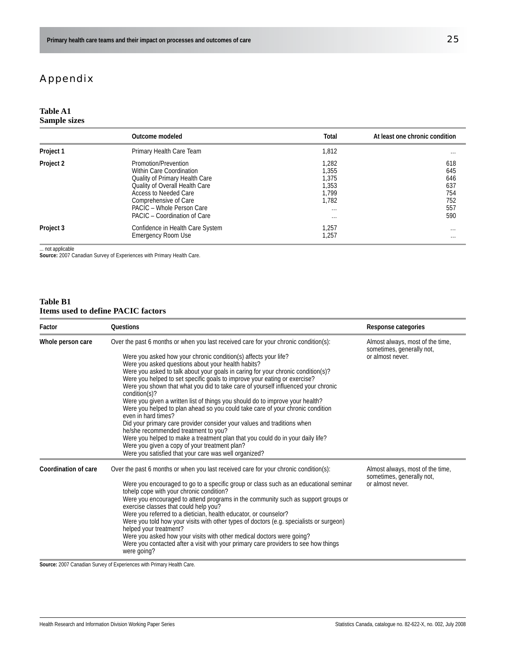## Appendix

#### **Table A1 Sample sizes**

|           | Outcome modeled                  | Total    | At least one chronic condition |
|-----------|----------------------------------|----------|--------------------------------|
| Project 1 | Primary Health Care Team         | 1,812    | $\cdots$                       |
| Project 2 | Promotion/Prevention             | 1,282    | 618                            |
|           | Within Care Coordination         | 1,355    | 645                            |
|           | Quality of Primary Health Care   | 1,375    | 646                            |
|           | Quality of Overall Health Care   | 1,353    | 637                            |
|           | Access to Needed Care            | 1.799    | 754                            |
|           | Comprehensive of Care            | 1.782    | 752                            |
|           | PACIC - Whole Person Care        | $\cdots$ | 557                            |
|           | PACIC – Coordination of Care     | $\cdots$ | 590                            |
| Project 3 | Confidence in Health Care System | 1,257    | $\cdots$                       |
|           | <b>Emergency Room Use</b>        | 1,257    | $\cdots$                       |

... not applicable

**Source:** 2007 Canadian Survey of Experiences with Primary Health Care.

#### **Table B1 Items used to define PACIC factors**

| Factor                      | <b>Questions</b>                                                                                                                                                                                                                                                                                                                                                                                                                                                                                                                                                                                                                                                                                                                                                                                                                                                                                                                                                                              | Response categories                                                               |
|-----------------------------|-----------------------------------------------------------------------------------------------------------------------------------------------------------------------------------------------------------------------------------------------------------------------------------------------------------------------------------------------------------------------------------------------------------------------------------------------------------------------------------------------------------------------------------------------------------------------------------------------------------------------------------------------------------------------------------------------------------------------------------------------------------------------------------------------------------------------------------------------------------------------------------------------------------------------------------------------------------------------------------------------|-----------------------------------------------------------------------------------|
| Whole person care           | Over the past 6 months or when you last received care for your chronic condition(s):<br>Were you asked how your chronic condition(s) affects your life?<br>Were you asked questions about your health habits?<br>Were you asked to talk about your goals in caring for your chronic condition(s)?<br>Were you helped to set specific goals to improve your eating or exercise?<br>Were you shown that what you did to take care of yourself influenced your chronic<br>condition(s)?<br>Were you given a written list of things you should do to improve your health?<br>Were you helped to plan ahead so you could take care of your chronic condition<br>even in hard times?<br>Did your primary care provider consider your values and traditions when<br>he/she recommended treatment to you?<br>Were you helped to make a treatment plan that you could do in your daily life?<br>Were you given a copy of your treatment plan?<br>Were you satisfied that your care was well organized? | Almost always, most of the time,<br>sometimes, generally not,<br>or almost never. |
| <b>Coordination of care</b> | Over the past 6 months or when you last received care for your chronic condition(s):<br>Were you encouraged to go to a specific group or class such as an educational seminar<br>tohelp cope with your chronic condition?<br>Were you encouraged to attend programs in the community such as support groups or<br>exercise classes that could help you?<br>Were you referred to a dietician, health educator, or counselor?<br>Were you told how your visits with other types of doctors (e.g. specialists or surgeon)<br>helped your treatment?<br>Were you asked how your visits with other medical doctors were going?<br>Were you contacted after a visit with your primary care providers to see how things<br>were going?                                                                                                                                                                                                                                                               | Almost always, most of the time,<br>sometimes, generally not,<br>or almost never. |

**Source:** 2007 Canadian Survey of Experiences with Primary Health Care.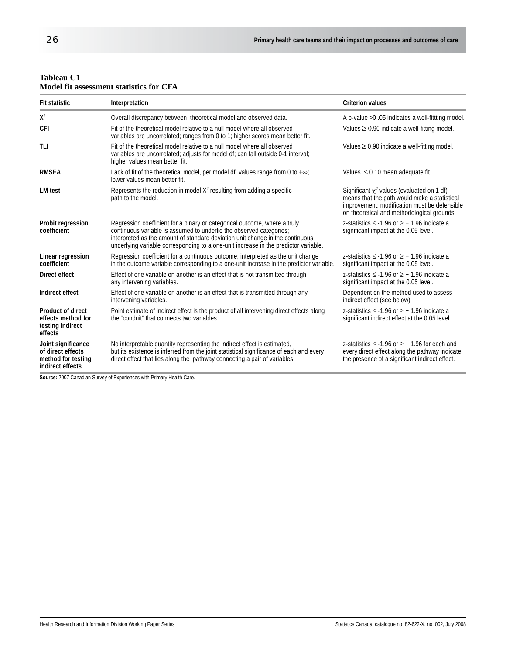| <b>Fit statistic</b>                                                              | Interpretation                                                                                                                                                                                                                                                                                                           | <b>Criterion values</b>                                                                                                                                                                       |
|-----------------------------------------------------------------------------------|--------------------------------------------------------------------------------------------------------------------------------------------------------------------------------------------------------------------------------------------------------------------------------------------------------------------------|-----------------------------------------------------------------------------------------------------------------------------------------------------------------------------------------------|
| $X^2$                                                                             | Overall discrepancy between theoretical model and observed data.                                                                                                                                                                                                                                                         | A p-value > 0.05 indicates a well-fitting model.                                                                                                                                              |
| CFI                                                                               | Fit of the theoretical model relative to a null model where all observed<br>variables are uncorrelated; ranges from 0 to 1; higher scores mean better fit.                                                                                                                                                               | Values $\geq 0.90$ indicate a well-fitting model.                                                                                                                                             |
| TLI                                                                               | Fit of the theoretical model relative to a null model where all observed<br>variables are uncorrelated; adjusts for model df; can fall outside 0-1 interval;<br>higher values mean better fit.                                                                                                                           | Values $\geq$ 0.90 indicate a well-fitting model.                                                                                                                                             |
| <b>RMSEA</b>                                                                      | Lack of fit of the theoretical model, per model df; values range from 0 to $+\infty$ ;<br>lower values mean better fit.                                                                                                                                                                                                  | Values $\leq$ 0.10 mean adequate fit.                                                                                                                                                         |
| LM test                                                                           | Represents the reduction in model X <sup>2</sup> resulting from adding a specific<br>path to the model.                                                                                                                                                                                                                  | Significant $\chi^2$ values (evaluated on 1 df)<br>means that the path would make a statistical<br>improvement; modification must be defensible<br>on theoretical and methodological grounds. |
| Probit regression<br>coefficient                                                  | Regression coefficient for a binary or categorical outcome, where a truly<br>continuous variable is assumed to underlie the observed categories;<br>interpreted as the amount of standard deviation unit change in the continuous<br>underlying variable corresponding to a one-unit increase in the predictor variable. | z-statistics $\leq$ -1.96 or $\geq$ + 1.96 indicate a<br>significant impact at the 0.05 level.                                                                                                |
| Linear regression<br>coefficient                                                  | Regression coefficient for a continuous outcome; interpreted as the unit change<br>in the outcome variable corresponding to a one-unit increase in the predictor variable.                                                                                                                                               | z-statistics $\leq$ -1.96 or $\geq$ + 1.96 indicate a<br>significant impact at the 0.05 level.                                                                                                |
| Direct effect                                                                     | Effect of one variable on another is an effect that is not transmitted through<br>any intervening variables.                                                                                                                                                                                                             | z-statistics $\leq$ -1.96 or $\geq$ + 1.96 indicate a<br>significant impact at the 0.05 level.                                                                                                |
| Indirect effect                                                                   | Effect of one variable on another is an effect that is transmitted through any<br>intervening variables.                                                                                                                                                                                                                 | Dependent on the method used to assess<br>indirect effect (see below)                                                                                                                         |
| Product of direct<br>effects method for<br>testing indirect<br>effects            | Point estimate of indirect effect is the product of all intervening direct effects along<br>the "conduit" that connects two variables                                                                                                                                                                                    | z-statistics $\leq$ -1.96 or $\geq$ + 1.96 indicate a<br>significant indirect effect at the 0.05 level.                                                                                       |
| Joint significance<br>of direct effects<br>method for testing<br>indirect effects | No interpretable quantity representing the indirect effect is estimated,<br>but its existence is inferred from the joint statistical significance of each and every<br>direct effect that lies along the pathway connecting a pair of variables.                                                                         | z-statistics $\leq$ -1.96 or $\geq$ + 1.96 for each and<br>every direct effect along the pathway indicate<br>the presence of a significant indirect effect.                                   |

#### **Tableau C1 Model fit assessment statistics for CFA**

**Source:** 2007 Canadian Survey of Experiences with Primary Health Care.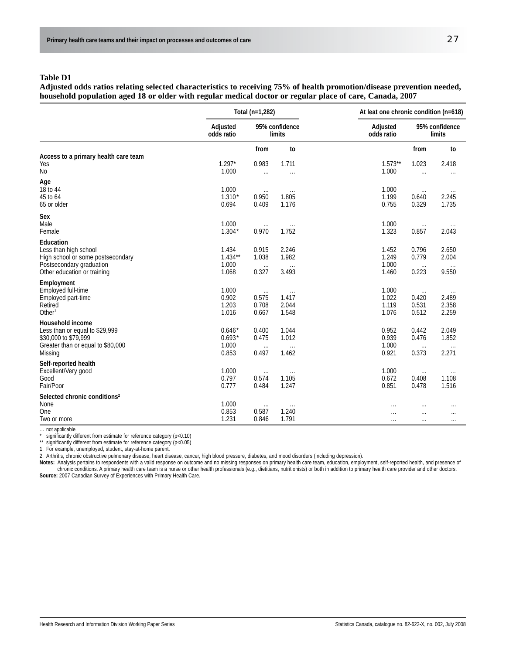**Adjusted odds ratios relating selected characteristics to receiving 75% of health promotion/disease prevention needed, household population aged 18 or older with regular medical doctor or regular place of care, Canada, 2007**

|                                                            |                        | Total (n=1,282)          |                   | At leat one chronic condition (n=618) |                          |          |  |
|------------------------------------------------------------|------------------------|--------------------------|-------------------|---------------------------------------|--------------------------|----------|--|
|                                                            | Adjusted<br>odds ratio | 95% confidence<br>limits |                   | Adjusted<br>odds ratio                | 95% confidence<br>limits |          |  |
|                                                            |                        | from                     | to                |                                       | from                     | to       |  |
| Access to a primary health care team                       |                        |                          |                   |                                       |                          |          |  |
| Yes<br>No                                                  | $1.297*$<br>1.000      | 0.983                    | 1.711             | $1.573**$<br>1.000                    | 1.023<br>$\dddotsc$      | 2.418    |  |
|                                                            |                        | $\cdots$                 | $\cdots$          |                                       |                          | $\cdots$ |  |
| Age<br>18 to 44                                            | 1.000                  |                          |                   | 1.000                                 |                          |          |  |
| 45 to 64                                                   | $1.310*$               | $\cdots$<br>0.950        | $\ldots$<br>1.805 | 1.199                                 | $\cdots$<br>0.640        | 2.245    |  |
| 65 or older                                                | 0.694                  | 0.409                    | 1.176             | 0.755                                 | 0.329                    | 1.735    |  |
|                                                            |                        |                          |                   |                                       |                          |          |  |
| Sex<br>Male                                                | 1.000                  |                          |                   | 1.000                                 |                          |          |  |
| Female                                                     | $1.304*$               | $\cdots$<br>0.970        | 1.752             | 1.323                                 | $\cdots$<br>0.857        | 2.043    |  |
|                                                            |                        |                          |                   |                                       |                          |          |  |
| Education                                                  | 1.434                  | 0.915                    | 2.246             | 1.452                                 | 0.796                    | 2.650    |  |
| Less than high school<br>High school or some postsecondary | $1.434***$             | 1.038                    | 1.982             | 1.249                                 | 0.779                    | 2.004    |  |
| Postsecondary graduation                                   | 1.000                  |                          |                   | 1.000                                 |                          |          |  |
| Other education or training                                | 1.068                  | $\cdots$<br>0.327        | $\cdots$<br>3.493 | 1.460                                 | $\ldots$<br>0.223        | 9.550    |  |
| Employment                                                 |                        |                          |                   |                                       |                          |          |  |
| Employed full-time                                         | 1.000                  |                          |                   | 1.000                                 |                          |          |  |
| Employed part-time                                         | 0.902                  | $\cdots$<br>0.575        | $\cdots$<br>1.417 | 1.022                                 | $\ldots$<br>0.420        | 2.489    |  |
| Retired                                                    | 1.203                  | 0.708                    | 2.044             | 1.119                                 | 0.531                    | 2.358    |  |
| Other <sup>1</sup>                                         | 1.016                  | 0.667                    | 1.548             | 1.076                                 | 0.512                    | 2.259    |  |
| Household income                                           |                        |                          |                   |                                       |                          |          |  |
| Less than or equal to \$29,999                             | $0.646*$               | 0.400                    | 1.044             | 0.952                                 | 0.442                    | 2.049    |  |
| \$30,000 to \$79,999                                       | $0.693*$               | 0.475                    | 1.012             | 0.939                                 | 0.476                    | 1.852    |  |
| Greater than or equal to \$80,000                          | 1.000                  | $\ldots$                 | $\ldots$          | 1.000                                 | $\ldots$                 | $\cdots$ |  |
| Missing                                                    | 0.853                  | 0.497                    | 1.462             | 0.921                                 | 0.373                    | 2.271    |  |
| Self-reported health                                       |                        |                          |                   |                                       |                          |          |  |
| Excellent/Very good                                        | 1.000                  | $\ldots$                 | $\cdots$          | 1.000                                 | $\ldots$                 | $\cdots$ |  |
| Good                                                       | 0.797                  | 0.574                    | 1.105             | 0.672                                 | 0.408                    | 1.108    |  |
| Fair/Poor                                                  | 0.777                  | 0.484                    | 1.247             | 0.851                                 | 0.478                    | 1.516    |  |
| Selected chronic conditions <sup>2</sup>                   |                        |                          |                   |                                       |                          |          |  |
| None                                                       | 1.000                  | $\cdots$                 | $\ldots$          | $\cdots$                              | $\cdots$                 | $\cdots$ |  |
| One                                                        | 0.853                  | 0.587                    | 1.240             | $\cdots$                              | $\ldots$                 | $\cdots$ |  |
| Two or more                                                | 1.231                  | 0.846                    | 1.791             | $\cdots$                              | $\ldots$                 | $\cdots$ |  |

 $\overline{\cdots}$  not applicable

significantly different from estimate for reference category (p<0.10)

\*\* significantly different from estimate for reference category (p<0.05)

1. For example, unemployed, student, stay-at-home parent.

2. Arthritis, chronic obstructive pulmonary disease, heart disease, cancer, high blood pressure, diabetes, and mood disorders (including depression).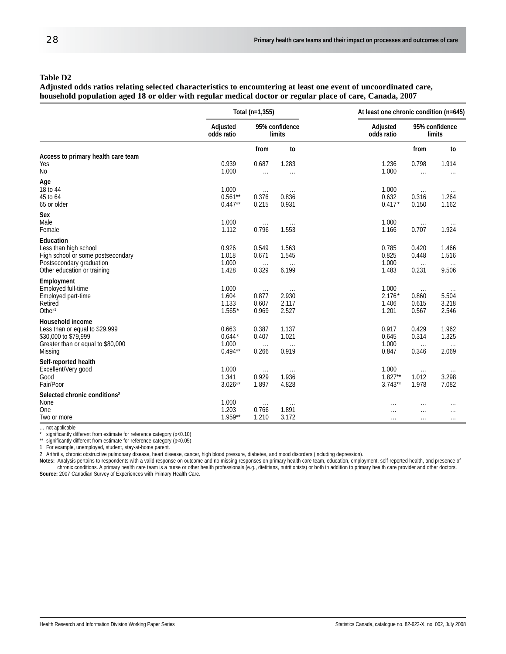**Adjusted odds ratios relating selected characteristics to encountering at least one event of uncoordinated care, household population aged 18 or older with regular medical doctor or regular place of care, Canada, 2007**

|                                                                                                                                    | Total (n=1,355)                         |                                     |                                     | At least one chronic condition (n=645) |                                     |                                     |  |
|------------------------------------------------------------------------------------------------------------------------------------|-----------------------------------------|-------------------------------------|-------------------------------------|----------------------------------------|-------------------------------------|-------------------------------------|--|
|                                                                                                                                    | Adjusted<br>odds ratio                  | 95% confidence<br>limits            |                                     | Adjusted<br>odds ratio                 | 95% confidence<br>limits            |                                     |  |
|                                                                                                                                    |                                         | from                                | to                                  |                                        | from                                | to                                  |  |
| Access to primary health care team<br>Yes<br>No                                                                                    | 0.939<br>1.000                          | 0.687<br>$\cdots$                   | 1.283<br>$\cdots$                   | 1.236<br>1.000                         | 0.798<br>$\cdots$                   | 1.914<br>$\cdots$                   |  |
| Age<br>18 to 44<br>45 to 64<br>65 or older                                                                                         | 1.000<br>$0.561**$<br>$0.447**$         | $\ldots$<br>0.376<br>0.215          | 0.836<br>0.931                      | 1.000<br>0.632<br>$0.417*$             | $\ldots$<br>0.316<br>0.150          | 1.264<br>1.162                      |  |
| Sex<br>Male<br>Female                                                                                                              | 1.000<br>1.112                          | $\cdots$<br>0.796                   | $\cdots$<br>1.553                   | 1.000<br>1.166                         | $\ldots$<br>0.707                   | 1.924                               |  |
| Education<br>Less than high school<br>High school or some postsecondary<br>Postsecondary graduation<br>Other education or training | 0.926<br>1.018<br>1.000<br>1.428        | 0.549<br>0.671<br>$\ldots$<br>0.329 | 1.563<br>1.545<br>$\ldots$<br>6.199 | 0.785<br>0.825<br>1.000<br>1.483       | 0.420<br>0.448<br>$\dots$<br>0.231  | 1.466<br>1.516<br>9.506             |  |
| Employment<br>Employed full-time<br>Employed part-time<br>Retired<br>Other <sup>1</sup>                                            | 1.000<br>1.604<br>1.133<br>$1.565*$     | $\cdots$<br>0.877<br>0.607<br>0.969 | $\cdots$<br>2.930<br>2.117<br>2.527 | 1.000<br>$2.176*$<br>1.406<br>1.201    | $\ldots$<br>0.860<br>0.615<br>0.567 | 5.504<br>3.218<br>2.546             |  |
| Household income<br>Less than or equal to \$29,999<br>\$30,000 to \$79,999<br>Greater than or equal to \$80,000<br>Missing         | 0.663<br>$0.644*$<br>1.000<br>$0.494**$ | 0.387<br>0.407<br>$\dots$<br>0.266  | 1.137<br>1.021<br>$\ldots$<br>0.919 | 0.917<br>0.645<br>1.000<br>0.847       | 0.429<br>0.314<br>$\ldots$<br>0.346 | 1.962<br>1.325<br>$\cdots$<br>2.069 |  |
| Self-reported health<br>Excellent/Very good<br>Good<br>Fair/Poor                                                                   | 1.000<br>1.341<br>$3.026**$             | $\cdots$<br>0.929<br>1.897          | $\ldots$<br>1.936<br>4.828          | 1.000<br>$1.827**$<br>$3.743**$        | $\ldots$<br>1.012<br>1.978          | 3.298<br>7.082                      |  |
| Selected chronic conditions <sup>2</sup><br>None<br>One<br>Two or more                                                             | 1.000<br>1.203<br>$1.959**$             | $\cdots$<br>0.766<br>1.210          | $\ldots$<br>1.891<br>3.172          | $\cdots$<br>.<br>$\cdots$              | .<br>$\cdots$<br>$\cdots$           | $\cdots$<br>$\ldots$<br>$\cdots$    |  |

… not applicable

\* significantly different from estimate for reference category ( $p<0.10$ )<br>\*\* significantly different from estimate for reference category ( $p<0.05$ )

significantly different from estimate for reference category (p<0.05)

1. For example, unemployed, student, stay-at-home parent.

2. Arthritis, chronic obstructive pulmonary disease, heart disease, cancer, high blood pressure, diabetes, and mood disorders (including depression).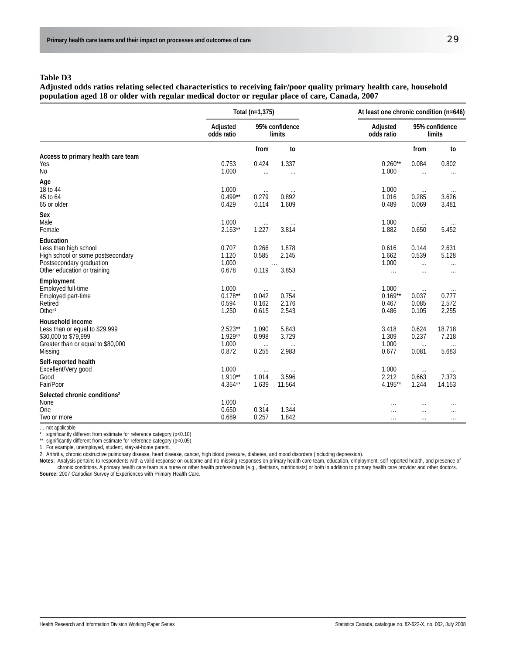#### **Adjusted odds ratios relating selected characteristics to receiving fair/poor quality primary health care, household population aged 18 or older with regular medical doctor or regular place of care, Canada, 2007**

|                                          | Total (n=1,375)        |                          |          | At least one chronic condition (n=646) |                          |          |  |
|------------------------------------------|------------------------|--------------------------|----------|----------------------------------------|--------------------------|----------|--|
|                                          | Adjusted<br>odds ratio | 95% confidence<br>limits |          | Adjusted<br>odds ratio                 | 95% confidence<br>limits |          |  |
|                                          |                        | from                     | to       |                                        | from                     | to       |  |
| Access to primary health care team       |                        |                          |          |                                        |                          |          |  |
| Yes                                      | 0.753<br>1.000         | 0.424                    | 1.337    | $0.260**$<br>1.000                     | 0.084                    | 0.802    |  |
| No                                       |                        | $\cdots$                 | $\cdots$ |                                        | $\ddots$                 | $\ldots$ |  |
| Age                                      |                        |                          |          |                                        |                          |          |  |
| 18 to 44                                 | 1.000                  | $\ldots$                 |          | 1.000                                  | $\cdots$                 |          |  |
| 45 to 64                                 | $0.499**$              | 0.279                    | 0.892    | 1.016                                  | 0.285                    | 3.626    |  |
| 65 or older                              | 0.429                  | 0.114                    | 1.609    | 0.489                                  | 0.069                    | 3.481    |  |
| Sex                                      |                        |                          |          |                                        |                          |          |  |
| Male                                     | 1.000                  | $\cdots$                 |          | 1.000                                  | $\ldots$                 |          |  |
| Female                                   | $2.163**$              | 1.227                    | 3.814    | 1.882                                  | 0.650                    | 5.452    |  |
| Education                                |                        |                          |          |                                        |                          |          |  |
| Less than high school                    | 0.707                  | 0.266                    | 1.878    | 0.616                                  | 0.144                    | 2.631    |  |
| High school or some postsecondary        | 1.120                  | 0.585                    | 2.145    | 1.662                                  | 0.539                    | 5.128    |  |
| Postsecondary graduation                 | 1.000                  |                          |          | 1.000                                  | $\cdots$                 | $\cdots$ |  |
| Other education or training              | 0.678                  | 0.119                    | 3.853    | $\ldots$                               | $\cdots$                 | $\ldots$ |  |
| Employment                               |                        |                          |          |                                        |                          |          |  |
| Employed full-time                       | 1.000                  | $\cdots$                 |          | 1.000                                  | $\ldots$                 |          |  |
| Employed part-time                       | $0.178**$              | 0.042                    | 0.754    | $0.169**$                              | 0.037                    | 0.777    |  |
| Retired                                  | 0.594                  | 0.162                    | 2.176    | 0.467                                  | 0.085                    | 2.572    |  |
| Other <sup>1</sup>                       | 1.250                  | 0.615                    | 2.543    | 0.486                                  | 0.105                    | 2.255    |  |
| Household income                         |                        |                          |          |                                        |                          |          |  |
| Less than or equal to \$29,999           | $2.523**$              | 1.090                    | 5.843    | 3.418                                  | 0.624                    | 18.718   |  |
| \$30,000 to \$79,999                     | $1.929**$              | 0.998                    | 3.729    | 1.309                                  | 0.237                    | 7.218    |  |
| Greater than or equal to \$80,000        | 1.000                  | $\ldots$                 | $\cdots$ | 1.000                                  | $\ldots$                 |          |  |
| Missing                                  | 0.872                  | 0.255                    | 2.983    | 0.677                                  | 0.081                    | 5.683    |  |
| Self-reported health                     |                        |                          |          |                                        |                          |          |  |
| Excellent/Very good                      | 1.000                  | $\cdots$                 | $\cdots$ | 1.000                                  | $\ldots$                 |          |  |
| Good                                     | $1.910**$              | 1.014                    | 3.596    | 2.212                                  | 0.663                    | 7.373    |  |
| Fair/Poor                                | $4.354**$              | 1.639                    | 11.564   | 4.195**                                | 1.244                    | 14.153   |  |
| Selected chronic conditions <sup>2</sup> |                        |                          |          |                                        |                          |          |  |
| None                                     | 1.000                  | $\cdots$                 | $\cdots$ | $\cdots$                               | $\cdots$                 | $\cdots$ |  |
| One                                      | 0.650                  | 0.314                    | 1.344    | .                                      | $\cdots$                 | $\cdots$ |  |
| Two or more                              | 0.689                  | 0.257                    | 1.842    | $\cdots$                               | $\cdots$                 | $\cdots$ |  |
|                                          |                        |                          |          |                                        |                          |          |  |

… not applicable

\* significantly different from estimate for reference category ( $p<0.10$ )<br>\*\* significantly different from estimate for reference category ( $p<0.05$ )

significantly different from estimate for reference category (p<0.05)

1. For example, unemployed, student, stay-at-home parent.

2. Arthritis, chronic obstructive pulmonary disease, heart disease, cancer, high blood pressure, diabetes, and mood disorders (including depression).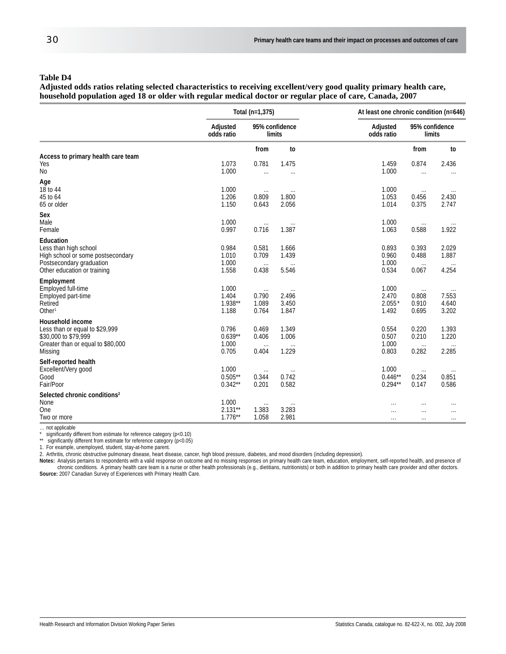**Adjusted odds ratios relating selected characteristics to receiving excellent/very good quality primary health care, household population aged 18 or older with regular medical doctor or regular place of care, Canada, 2007**

|                                                                                                                                    | Total (n=1,375)                      |                                     |                                     | At least one chronic condition (n=646) |                                     |                                     |  |
|------------------------------------------------------------------------------------------------------------------------------------|--------------------------------------|-------------------------------------|-------------------------------------|----------------------------------------|-------------------------------------|-------------------------------------|--|
|                                                                                                                                    | Adjusted<br>odds ratio               | 95% confidence<br><b>limits</b>     |                                     | Adjusted<br>odds ratio                 |                                     | 95% confidence<br>limits            |  |
|                                                                                                                                    |                                      | from                                | to                                  |                                        | from                                | to                                  |  |
| Access to primary health care team<br>Yes<br>No                                                                                    | 1.073<br>1.000                       | 0.781<br>$\ldots$                   | 1.475<br>$\cdots$                   | 1.459<br>1.000                         | 0.874<br>$\cdots$                   | 2.436<br>$\cdots$                   |  |
| Age<br>18 to 44<br>45 to 64<br>65 or older                                                                                         | 1.000<br>1.206<br>1.150              | $\cdots$<br>0.809<br>0.643          | 1.800<br>2.056                      | 1.000<br>1.053<br>1.014                | $\ldots$<br>0.456<br>0.375          | 2.430<br>2.747                      |  |
| Sex<br>Male<br>Female                                                                                                              | 1.000<br>0.997                       | $\ldots$<br>0.716                   | $\cdots$<br>1.387                   | 1.000<br>1.063                         | $\ldots$<br>0.588                   | 1.922                               |  |
| Education<br>Less than high school<br>High school or some postsecondary<br>Postsecondary graduation<br>Other education or training | 0.984<br>1.010<br>1.000<br>1.558     | 0.581<br>0.709<br>$\dots$<br>0.438  | 1.666<br>1.439<br>5.546             | 0.893<br>0.960<br>1.000<br>0.534       | 0.393<br>0.488<br>$\ldots$<br>0.067 | 2.029<br>1.887<br>4.254             |  |
| Employment<br>Employed full-time<br>Employed part-time<br>Retired<br>Other <sup>1</sup>                                            | 1.000<br>1.404<br>$1.938**$<br>1.188 | $\cdots$<br>0.790<br>1.089<br>0.764 | 2.496<br>3.450<br>1.847             | 1.000<br>2.470<br>$2.055*$<br>1.492    | $\ldots$<br>0.808<br>0.910<br>0.695 | 7.553<br>4.640<br>3.202             |  |
| Household income<br>Less than or equal to \$29,999<br>\$30,000 to \$79,999<br>Greater than or equal to \$80,000<br>Missing         | 0.796<br>$0.639**$<br>1.000<br>0.705 | 0.469<br>0.406<br>$\cdots$<br>0.404 | 1.349<br>1.006<br>$\cdots$<br>1.229 | 0.554<br>0.507<br>1.000<br>0.803       | 0.220<br>0.210<br>$\cdots$<br>0.282 | 1.393<br>1.220<br>$\cdots$<br>2.285 |  |
| Self-reported health<br>Excellent/Very good<br>Good<br>Fair/Poor                                                                   | 1.000<br>$0.505**$<br>$0.342**$      | $\cdots$<br>0.344<br>0.201          | 0.742<br>0.582                      | 1.000<br>$0.446**$<br>$0.294***$       | $\ldots$<br>0.234<br>0.147          | 0.851<br>0.586                      |  |
| Selected chronic conditions <sup>2</sup><br>None<br>One<br>Two or more                                                             | 1.000<br>$2.131**$<br>$1.776**$      | $\cdots$<br>1.383<br>1.058          | $\cdots$<br>3.283<br>2.981          | $\cdots$<br>.<br>$\cdots$              | $\cdots$<br><br>$\cdots$            | $\cdots$<br>$\cdots$<br>$\cdots$    |  |

… not applicable

significantly different from estimate for reference category (p<0.10)

\*\* significantly different from estimate for reference category (p<0.05)

1. For example, unemployed, student, stay-at-home parent.

2. Arthritis, chronic obstructive pulmonary disease, heart disease, cancer, high blood pressure, diabetes, and mood disorders (including depression).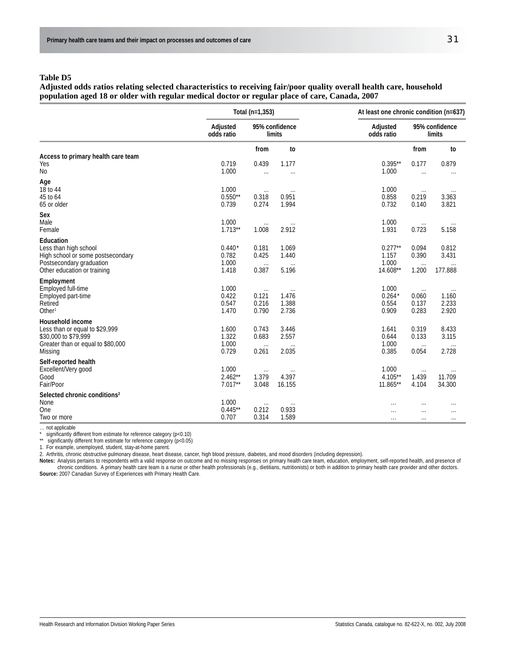#### **Adjusted odds ratios relating selected characteristics to receiving fair/poor quality overall health care, household population aged 18 or older with regular medical doctor or regular place of care, Canada, 2007**

|                                                                                                                                    | Total (n=1,353)                     |                                     |                                     | At least one chronic condition (n=637)  |                                     |                           |  |
|------------------------------------------------------------------------------------------------------------------------------------|-------------------------------------|-------------------------------------|-------------------------------------|-----------------------------------------|-------------------------------------|---------------------------|--|
|                                                                                                                                    | Adjusted<br>odds ratio              | 95% confidence<br>limits            |                                     | Adjusted<br>odds ratio                  | 95% confidence<br>limits            |                           |  |
|                                                                                                                                    |                                     | from                                | to                                  |                                         | from                                | to                        |  |
| Access to primary health care team<br>Yes<br>No                                                                                    | 0.719<br>1.000                      | 0.439<br>$\cdots$                   | 1.177<br>$\cdots$                   | $0.395**$<br>1.000                      | 0.177<br>$\ddots$                   | 0.879<br>$\cdots$         |  |
| Age<br>18 to 44<br>45 to 64<br>65 or older                                                                                         | 1.000<br>$0.550**$<br>0.739         | $\ldots$<br>0.318<br>0.274          | 0.951<br>1.994                      | 1.000<br>0.858<br>0.732                 | $\cdots$<br>0.219<br>0.140          | 3.363<br>3.821            |  |
| Sex<br>Male<br>Female                                                                                                              | 1.000<br>$1.713**$                  | $\cdots$<br>1.008                   | 2.912                               | 1.000<br>1.931                          | $\ldots$<br>0.723                   | 5.158                     |  |
| Education<br>Less than high school<br>High school or some postsecondary<br>Postsecondary graduation<br>Other education or training | $0.440*$<br>0.782<br>1.000<br>1.418 | 0.181<br>0.425<br>$\ldots$<br>0.387 | 1.069<br>1.440<br>$\ldots$<br>5.196 | $0.277**$<br>1.157<br>1.000<br>14.608** | 0.094<br>0.390<br>$\ldots$<br>1.200 | 0.812<br>3.431<br>177.888 |  |
| Employment<br>Employed full-time<br>Employed part-time<br>Retired<br>Other <sup>1</sup>                                            | 1.000<br>0.422<br>0.547<br>1.470    | $\ldots$<br>0.121<br>0.216<br>0.790 | 1.476<br>1.388<br>2.736             | 1.000<br>$0.264*$<br>0.554<br>0.909     | $\cdots$<br>0.060<br>0.137<br>0.283 | 1.160<br>2.233<br>2.920   |  |
| Household income<br>Less than or equal to \$29,999<br>\$30,000 to \$79,999<br>Greater than or equal to \$80,000<br>Missing         | 1.600<br>1.322<br>1.000<br>0.729    | 0.743<br>0.683<br>$\ldots$<br>0.261 | 3.446<br>2.557<br>$\cdots$<br>2.035 | 1.641<br>0.644<br>1.000<br>0.385        | 0.319<br>0.133<br>$\ldots$<br>0.054 | 8.433<br>3.115<br>2.728   |  |
| Self-reported health<br>Excellent/Very good<br>Good<br>Fair/Poor                                                                   | 1.000<br>$2.462**$<br>$7.017**$     | $\cdots$<br>1.379<br>3.048          | $\cdots$<br>4.397<br>16.155         | 1.000<br>$4.105***$<br>11.865**         | $\ldots$<br>1.439<br>4.104          | 11.709<br>34.300          |  |
| Selected chronic conditions <sup>2</sup><br>None<br>One<br>Two or more                                                             | 1.000<br>$0.445**$<br>0.707         | $\cdots$<br>0.212<br>0.314          | $\cdots$<br>0.933<br>1.589          | .<br>.<br>$\cdots$                      | <br><br>$\cdots$                    | <br>$\cdots$<br>$\cdots$  |  |

… not applicable

significantly different from estimate for reference category (p<0.10)

\*\* significantly different from estimate for reference category (p<0.05)

1. For example, unemployed, student, stay-at-home parent.

2. Arthritis, chronic obstructive pulmonary disease, heart disease, cancer, high blood pressure, diabetes, and mood disorders (including depression).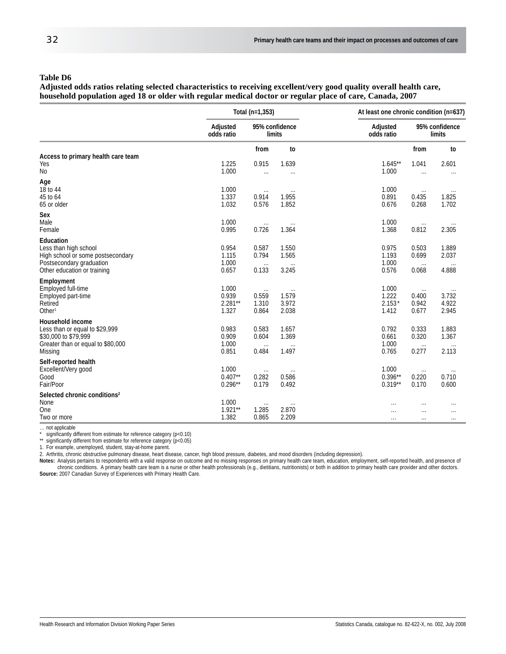**Adjusted odds ratios relating selected characteristics to receiving excellent/very good quality overall health care, household population aged 18 or older with regular medical doctor or regular place of care, Canada, 2007**

|                                                                                                                                    | Total (n=1,353)                      |                                     |                                     | At least one chronic condition (n=637) |                                     |                                     |  |
|------------------------------------------------------------------------------------------------------------------------------------|--------------------------------------|-------------------------------------|-------------------------------------|----------------------------------------|-------------------------------------|-------------------------------------|--|
|                                                                                                                                    | Adjusted<br>odds ratio               |                                     | 95% confidence<br><b>limits</b>     | Adjusted<br>odds ratio                 | 95% confidence<br><b>limits</b>     |                                     |  |
|                                                                                                                                    |                                      | from                                | to                                  |                                        | from                                | to                                  |  |
| Access to primary health care team<br>Yes<br><b>No</b>                                                                             | 1.225<br>1.000                       | 0.915<br>$\cdots$                   | 1.639<br>$\cdots$                   | $1.645**$<br>1.000                     | 1.041<br>$\cdots$                   | 2.601<br>$\cdots$                   |  |
| Age<br>18 to 44<br>45 to 64<br>65 or older                                                                                         | 1.000<br>1.337<br>1.032              | $\cdots$<br>0.914<br>0.576          | 1.955<br>1.852                      | 1.000<br>0.891<br>0.676                | $\cdots$<br>0.435<br>0.268          | 1.825<br>1.702                      |  |
| Sex<br>Male<br>Female                                                                                                              | 1.000<br>0.995                       | $\cdots$<br>0.726                   | $\cdots$<br>1.364                   | 1.000<br>1.368                         | $\cdots$<br>0.812                   | 2.305                               |  |
| Education<br>Less than high school<br>High school or some postsecondary<br>Postsecondary graduation<br>Other education or training | 0.954<br>1.115<br>1.000<br>0.657     | 0.587<br>0.794<br>$\ldots$<br>0.133 | 1.550<br>1.565<br>$\cdots$<br>3.245 | 0.975<br>1.193<br>1.000<br>0.576       | 0.503<br>0.699<br>$\dots$<br>0.068  | 1.889<br>2.037<br>4.888             |  |
| Employment<br>Employed full-time<br>Employed part-time<br>Retired<br>Other <sup>1</sup>                                            | 1.000<br>0.939<br>$2.281**$<br>1.327 | $\ldots$<br>0.559<br>1.310<br>0.864 | 1.579<br>3.972<br>2.038             | 1.000<br>1.222<br>$2.153*$<br>1.412    | $\cdots$<br>0.400<br>0.942<br>0.677 | 3.732<br>4.922<br>2.945             |  |
| Household income<br>Less than or equal to \$29,999<br>\$30,000 to \$79,999<br>Greater than or equal to \$80,000<br>Missing         | 0.983<br>0.909<br>1.000<br>0.851     | 0.583<br>0.604<br>$\ldots$<br>0.484 | 1.657<br>1.369<br>$\cdots$<br>1.497 | 0.792<br>0.661<br>1.000<br>0.765       | 0.333<br>0.320<br>$\cdots$<br>0.277 | 1.883<br>1.367<br>$\ldots$<br>2.113 |  |
| Self-reported health<br>Excellent/Very good<br>Good<br>Fair/Poor                                                                   | 1.000<br>$0.407**$<br>$0.296**$      | $\ldots$<br>0.282<br>0.179          | 0.586<br>0.492                      | 1.000<br>$0.396**$<br>$0.319**$        | $\ldots$<br>0.220<br>0.170          | 0.710<br>0.600                      |  |
| Selected chronic conditions <sup>2</sup><br>None<br>One<br>Two or more                                                             | 1.000<br>$1.921**$<br>1.382          | $\cdots$<br>1.285<br>0.865          | $\cdots$<br>2.870<br>2.209          | .<br>.<br>$\cdots$                     | $\cdots$<br>$\cdots$<br>$\cdots$    | $\cdots$<br>$\cdots$<br>$\cdots$    |  |

… not applicable

\* significantly different from estimate for reference category ( $p<0.10$ )<br>\*\* significantly different from estimate for reference category ( $p<0.05$ )

significantly different from estimate for reference category (p<0.05)

1. For example, unemployed, student, stay-at-home parent.

2. Arthritis, chronic obstructive pulmonary disease, heart disease, cancer, high blood pressure, diabetes, and mood disorders (including depression).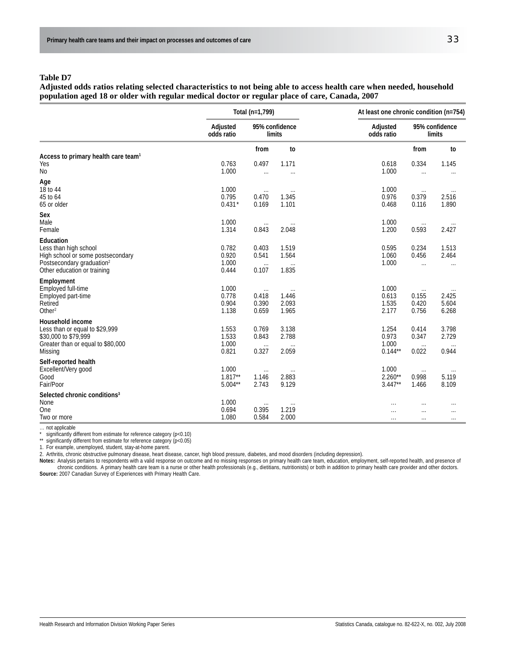**Adjusted odds ratios relating selected characteristics to not being able to access health care when needed, household population aged 18 or older with regular medical doctor or regular place of care, Canada, 2007**

|                                                 | Total (n=1,799)        |                          |                   | At least one chronic condition (n=754) |                          |                      |  |
|-------------------------------------------------|------------------------|--------------------------|-------------------|----------------------------------------|--------------------------|----------------------|--|
|                                                 | Adjusted<br>odds ratio | 95% confidence<br>limits |                   | Adjusted<br>odds ratio                 | 95% confidence<br>limits |                      |  |
|                                                 |                        | from                     | to                |                                        | from                     | to                   |  |
| Access to primary health care team <sup>1</sup> |                        |                          |                   |                                        |                          |                      |  |
| Yes                                             | 0.763                  | 0.497                    | 1.171             | 0.618                                  | 0.334                    | 1.145                |  |
| No                                              | 1.000                  | $\cdots$                 | $\cdots$          | 1.000                                  | $\ddots$                 | $\cdots$             |  |
| Age                                             |                        |                          |                   |                                        |                          |                      |  |
| 18 to 44                                        | 1.000                  | $\cdots$                 | $\cdots$          | 1.000                                  | $\cdots$                 |                      |  |
| 45 to 64                                        | 0.795                  | 0.470                    | 1.345             | 0.976                                  | 0.379                    | 2.516                |  |
| 65 or older                                     | $0.431*$               | 0.169                    | 1.101             | 0.468                                  | 0.116                    | 1.890                |  |
| Sex                                             |                        |                          |                   |                                        |                          |                      |  |
| Male                                            | 1.000                  | $\cdots$                 |                   | 1.000                                  | $\cdots$                 |                      |  |
| Female                                          | 1.314                  | 0.843                    | 2.048             | 1.200                                  | 0.593                    | 2.427                |  |
| Education                                       |                        |                          |                   |                                        |                          |                      |  |
| Less than high school                           | 0.782                  | 0.403                    | 1.519             | 0.595                                  | 0.234                    | 1.513                |  |
| High school or some postsecondary               | 0.920                  | 0.541                    | 1.564             | 1.060                                  | 0.456                    | 2.464                |  |
| Postsecondary graduation <sup>2</sup>           | 1.000                  | $\cdots$                 |                   | 1.000                                  | $\ldots$                 | $\cdots$             |  |
| Other education or training                     | 0.444                  | 0.107                    | 1.835             |                                        |                          |                      |  |
| Employment                                      |                        |                          |                   |                                        |                          |                      |  |
| Employed full-time                              | 1.000                  | $\ldots$                 |                   | 1.000                                  | $\ldots$                 |                      |  |
| Employed part-time                              | 0.778                  | 0.418                    | 1.446             | 0.613                                  | 0.155                    | 2.425                |  |
| Retired                                         | 0.904                  | 0.390                    | 2.093             | 1.535                                  | 0.420                    | 5.604                |  |
| Other <sup>2</sup>                              | 1.138                  | 0.659                    | 1.965             | 2.177                                  | 0.756                    | 6.268                |  |
| Household income                                |                        |                          |                   |                                        |                          |                      |  |
| Less than or equal to \$29,999                  | 1.553                  | 0.769                    | 3.138             | 1.254                                  | 0.414                    | 3.798                |  |
| \$30,000 to \$79,999                            | 1.533                  | 0.843                    | 2.788             | 0.973                                  | 0.347                    | 2.729                |  |
| Greater than or equal to \$80,000               | 1.000                  | $\ldots$                 | $\cdots$          | 1.000                                  | $\ldots$                 |                      |  |
| Missing                                         | 0.821                  | 0.327                    | 2.059             | $0.144***$                             | 0.022                    | 0.944                |  |
| Self-reported health                            |                        |                          |                   |                                        |                          |                      |  |
| Excellent/Very good                             | 1.000                  |                          |                   | 1.000                                  |                          |                      |  |
| Good                                            | $1.817**$              | $\ldots$<br>1.146        | $\cdots$<br>2.883 | $2.260**$                              | $\cdots$<br>0.998        | 5.119                |  |
| Fair/Poor                                       | $5.004**$              | 2.743                    | 9.129             | $3.447**$                              | 1.466                    | 8.109                |  |
| Selected chronic conditions <sup>3</sup>        |                        |                          |                   |                                        |                          |                      |  |
| None                                            | 1.000                  |                          |                   |                                        |                          |                      |  |
| One                                             | 0.694                  | $\cdots$<br>0.395        | $\cdots$<br>1.219 | .<br>.                                 | <br>$\cdots$             | $\cdots$<br>$\cdots$ |  |
| Two or more                                     | 1.080                  | 0.584                    | 2.000             | $\cdots$                               | $\cdots$                 | $\cdots$             |  |
|                                                 |                        |                          |                   |                                        |                          |                      |  |

… not applicable

\* significantly different from estimate for reference category ( $p<0.10$ )<br>\*\* significantly different from estimate for reference category ( $p<0.05$ )

significantly different from estimate for reference category (p<0.05)

1. For example, unemployed, student, stay-at-home parent.

2. Arthritis, chronic obstructive pulmonary disease, heart disease, cancer, high blood pressure, diabetes, and mood disorders (including depression).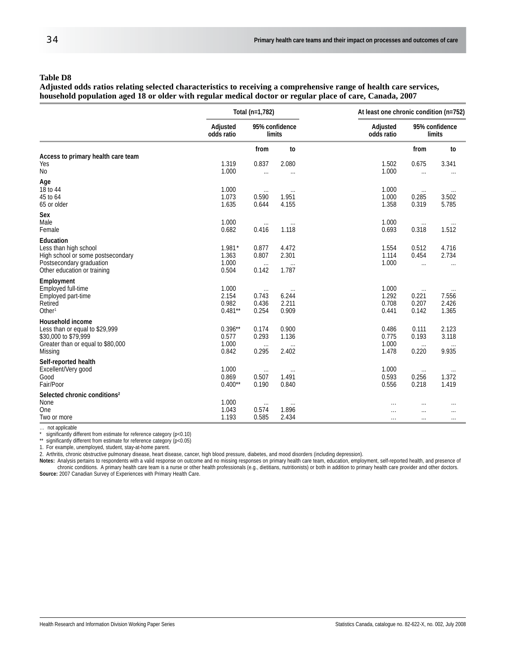**Adjusted odds ratios relating selected characteristics to receiving a comprehensive range of health care services, household population aged 18 or older with regular medical doctor or regular place of care, Canada, 2007**

|                                                                                                                                    | Total (n=1,782)                      |                                     |                                     | At least one chronic condition (n=752) |                                     |                                  |  |
|------------------------------------------------------------------------------------------------------------------------------------|--------------------------------------|-------------------------------------|-------------------------------------|----------------------------------------|-------------------------------------|----------------------------------|--|
|                                                                                                                                    | Adjusted<br>odds ratio               |                                     | 95% confidence<br>limits            | Adjusted<br>odds ratio                 |                                     | 95% confidence<br>limits         |  |
|                                                                                                                                    |                                      | from                                | to                                  |                                        | from                                | to                               |  |
| Access to primary health care team<br>Yes<br><b>No</b>                                                                             | 1.319<br>1.000                       | 0.837<br>$\cdots$                   | 2.080<br>$\cdots$                   | 1.502<br>1.000                         | 0.675<br>$\cdots$                   | 3.341<br>$\ldots$                |  |
| Age<br>18 to 44<br>45 to 64<br>65 or older                                                                                         | 1.000<br>1.073<br>1.635              | $\cdots$<br>0.590<br>0.644          | $\cdots$<br>1.951<br>4.155          | 1.000<br>1.000<br>1.358                | $\cdots$<br>0.285<br>0.319          | 3.502<br>5.785                   |  |
| Sex<br>Male<br>Female                                                                                                              | 1.000<br>0.682                       | $\cdots$<br>0.416                   | $\cdots$<br>1.118                   | 1.000<br>0.693                         | $\cdots$<br>0.318                   | 1.512                            |  |
| Education<br>Less than high school<br>High school or some postsecondary<br>Postsecondary graduation<br>Other education or training | $1.981*$<br>1.363<br>1.000<br>0.504  | 0.877<br>0.807<br>$\ldots$<br>0.142 | 4.472<br>2.301<br>$\cdots$<br>1.787 | 1.554<br>1.114<br>1.000                | 0.512<br>0.454<br>$\ldots$          | 4.716<br>2.734<br>$\ldots$       |  |
| Employment<br>Employed full-time<br>Employed part-time<br>Retired<br>Other <sup>1</sup>                                            | 1.000<br>2.154<br>0.982<br>$0.481**$ | $\cdots$<br>0.743<br>0.436<br>0.254 | 6.244<br>2.211<br>0.909             | 1.000<br>1.292<br>0.708<br>0.441       | $\cdots$<br>0.221<br>0.207<br>0.142 | 7.556<br>2.426<br>1.365          |  |
| Household income<br>Less than or equal to \$29,999<br>\$30,000 to \$79,999<br>Greater than or equal to \$80,000<br>Missing         | $0.396**$<br>0.577<br>1.000<br>0.842 | 0.174<br>0.293<br>$\ldots$<br>0.295 | 0.900<br>1.136<br>$\cdots$<br>2.402 | 0.486<br>0.775<br>1.000<br>1.478       | 0.111<br>0.193<br>$\cdots$<br>0.220 | 2.123<br>3.118<br>9.935          |  |
| Self-reported health<br>Excellent/Very good<br>Good<br>Fair/Poor                                                                   | 1.000<br>0.869<br>$0.400**$          | $\ldots$<br>0.507<br>0.190          | $\cdots$<br>1.491<br>0.840          | 1.000<br>0.593<br>0.556                | $\cdots$<br>0.256<br>0.218          | $\cdots$<br>1.372<br>1.419       |  |
| Selected chronic conditions <sup>2</sup><br>None<br>One<br>Two or more                                                             | 1.000<br>1.043<br>1.193              | $\cdots$<br>0.574<br>0.585          | $\cdots$<br>1.896<br>2.434          | .<br>.<br>$\cdots$                     | $\cdots$<br>$\cdots$<br>$\cdots$    | $\cdots$<br>$\cdots$<br>$\cdots$ |  |

… not applicable

\* significantly different from estimate for reference category ( $p<0.10$ )<br>\*\* significantly different from estimate for reference category ( $p<0.05$ )

significantly different from estimate for reference category (p<0.05)

1. For example, unemployed, student, stay-at-home parent.

2. Arthritis, chronic obstructive pulmonary disease, heart disease, cancer, high blood pressure, diabetes, and mood disorders (including depression).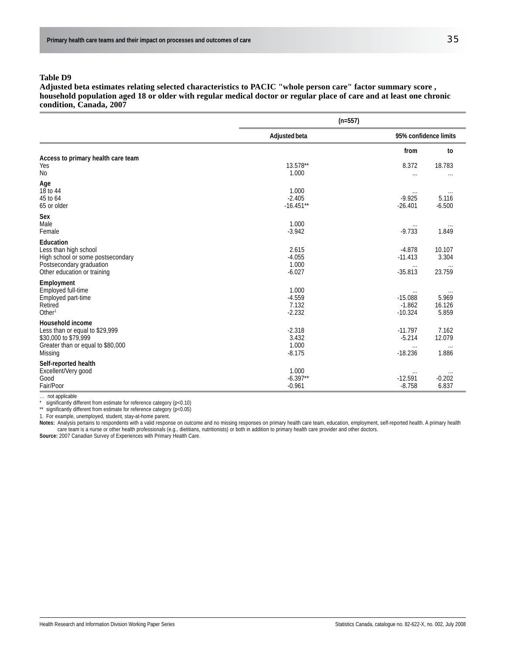**Adjusted beta estimates relating selected characteristics to PACIC "whole person care" factor summary score , household population aged 18 or older with regular medical doctor or regular place of care and at least one chronic condition, Canada, 2007**

|                                           | $(n=557)$     |                       |          |  |
|-------------------------------------------|---------------|-----------------------|----------|--|
|                                           | Adjusted beta | 95% confidence limits |          |  |
|                                           |               | from                  | to       |  |
| Access to primary health care team<br>Yes | 13.578**      | 8.372                 | 18.783   |  |
| No                                        | 1.000         | $\cdots$              | $\cdots$ |  |
| Age                                       |               |                       |          |  |
| 18 to 44                                  | 1.000         | $\cdots$              | $\cdots$ |  |
| 45 to 64                                  | $-2.405$      | $-9.925$              | 5.116    |  |
| 65 or older                               | $-16.451**$   | $-26.401$             | $-6.500$ |  |
| Sex                                       |               |                       |          |  |
| Male                                      | 1.000         | $\cdots$              | $\cdots$ |  |
| Female                                    | $-3.942$      | $-9.733$              | 1.849    |  |
| Education                                 |               |                       |          |  |
| Less than high school                     | 2.615         | $-4.878$              | 10.107   |  |
| High school or some postsecondary         | $-4.055$      | $-11.413$             | 3.304    |  |
| Postsecondary graduation                  | 1.000         |                       |          |  |
| Other education or training               | $-6.027$      | $-35.813$             | 23.759   |  |
| Employment                                |               |                       |          |  |
| Employed full-time                        | 1.000         |                       |          |  |
| Employed part-time                        | $-4.559$      | $-15.088$             | 5.969    |  |
| Retired                                   | 7.132         | $-1.862$              | 16.126   |  |
| Other <sup>1</sup>                        | $-2.232$      | $-10.324$             | 5.859    |  |
| Household income                          |               |                       |          |  |
| Less than or equal to \$29,999            | $-2.318$      | $-11.797$             | 7.162    |  |
| \$30,000 to \$79,999                      | 3.432         | $-5.214$              | 12.079   |  |
| Greater than or equal to \$80,000         | 1.000         | $\cdots$              |          |  |
| Missing                                   | $-8.175$      | $-18.236$             | 1.886    |  |
| Self-reported health                      |               |                       |          |  |
| Excellent/Very good                       | 1.000         | $\cdots$              |          |  |
| Good                                      | $-6.397**$    | $-12.591$             | $-0.202$ |  |
| Fair/Poor                                 | $-0.961$      | $-8.758$              | 6.837    |  |

… not applicable

\* significantly different from estimate for reference category (p<0.10)<sup>\*\*</sup> significantly different from estimate for reference category (p<0.05)

significantly different from estimate for reference category (p<0.05)

1. For example, unemployed, student, stay-at-home parent.

**Notes:** Analysis pertains to respondents with a valid response on outcome and no missing responses on primary health care team, education, employment, self-reported health. A primary health care team is a nurse or other health professionals (e.g., dietitians, nutritionists) or both in addition to primary health care provider and other doctors.

**Source:** 2007 Canadian Survey of Experiences with Primary Health Care.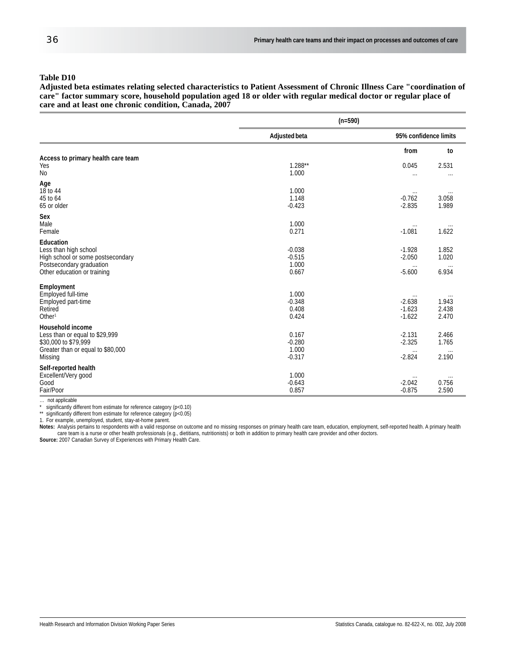**Adjusted beta estimates relating selected characteristics to Patient Assessment of Chronic Illness Care "coordination of care" factor summary score, household population aged 18 or older with regular medical doctor or regular place of care and at least one chronic condition, Canada, 2007**

|                                                                                                                            | $(n=590)$                              |                                                                |
|----------------------------------------------------------------------------------------------------------------------------|----------------------------------------|----------------------------------------------------------------|
|                                                                                                                            | Adjusted beta                          | 95% confidence limits                                          |
|                                                                                                                            |                                        | from<br>to                                                     |
| Access to primary health care team<br>Yes<br>No                                                                            | $1.288**$<br>1.000                     | 2.531<br>0.045<br>$\cdots$<br>$\cdots$                         |
| Age<br>18 to 44<br>45 to 64<br>65 or older                                                                                 | 1.000<br>1.148<br>$-0.423$             | $\ldots$<br>$\cdots$<br>$-0.762$<br>3.058<br>$-2.835$<br>1.989 |
| Sex<br>Male<br>Female                                                                                                      | 1.000<br>0.271                         | $-1.081$<br>1.622                                              |
| Education<br>Less than high school<br>High school or some postsecondary<br>Postsecondary graduation                        | $-0.038$<br>$-0.515$<br>1.000          | $-1.928$<br>1.852<br>$-2.050$<br>1.020<br>$\ldots$<br>$\cdots$ |
| Other education or training                                                                                                | 0.667                                  | $-5.600$<br>6.934                                              |
| Employment<br>Employed full-time<br>Employed part-time<br>Retired<br>Other <sup>1</sup>                                    | 1.000<br>$-0.348$<br>0.408<br>0.424    | $-2.638$<br>1.943<br>$-1.623$<br>2.438<br>$-1.622$<br>2.470    |
| Household income<br>Less than or equal to \$29,999<br>\$30,000 to \$79,999<br>Greater than or equal to \$80,000<br>Missing | 0.167<br>$-0.280$<br>1.000<br>$-0.317$ | 2.466<br>$-2.131$<br>$-2.325$<br>1.765<br>2.190<br>$-2.824$    |
| Self-reported health<br>Excellent/Very good<br>Good<br>Fair/Poor                                                           | 1.000<br>$-0.643$<br>0.857             | $\cdots$<br>$-2.042$<br>0.756<br>$-0.875$<br>2.590             |

… not applicable

\* significantly different from estimate for reference category (p<0.10)

\*\* significantly different from estimate for reference category (p<0.05)

1. For example, unemployed, student, stay-at-home parent.

**Notes:** Analysis pertains to respondents with a valid response on outcome and no missing responses on primary health care team, education, employment, self-reported health. A primary health care team is a nurse or other health professionals (e.g., dietitians, nutritionists) or both in addition to primary health care provider and other doctors.